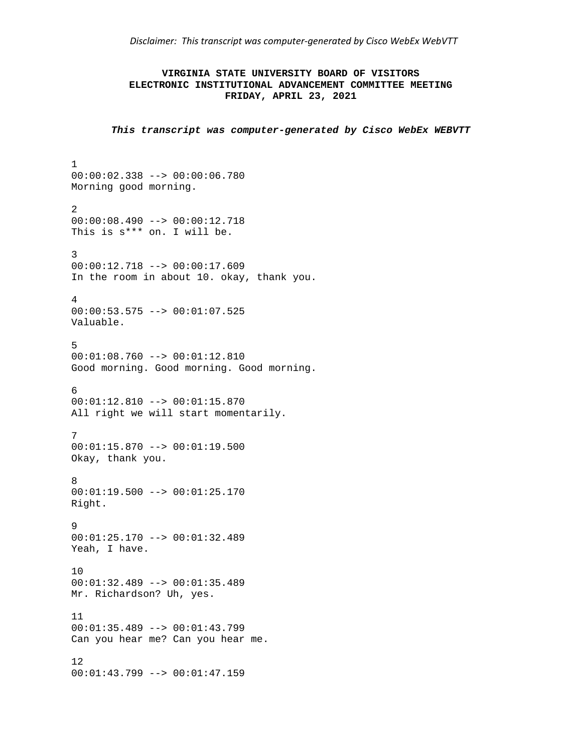*Disclaimer: This transcript was computer‐generated by Cisco WebEx WebVTT* 

## **VIRGINIA STATE UNIVERSITY BOARD OF VISITORS ELECTRONIC INSTITUTIONAL ADVANCEMENT COMMITTEE MEETING FRIDAY, APRIL 23, 2021**

*This transcript was computer-generated by Cisco WebEx WEBVTT* 

```
1 
00:00:02.338 --> 00:00:06.780 
Morning good morning. 
2 
00:00:08.490 --> 00:00:12.718 
This is s*** on. I will be. 
3 
00:00:12.718 --> 00:00:17.609 
In the room in about 10. okay, thank you. 
4 
00:00:53.575 --> 00:01:07.525 
Valuable. 
5 
00:01:08.760 --> 00:01:12.810 
Good morning. Good morning. Good morning. 
6 
00:01:12.810 --> 00:01:15.870 
All right we will start momentarily. 
7 
00:01:15.870 --> 00:01:19.500Okay, thank you. 
8 
00:01:19.500 --> 00:01:25.170 
Right. 
9 
00:01:25.170 --> 00:01:32.489 
Yeah, I have. 
10 
00:01:32.489 --> 00:01:35.489 
Mr. Richardson? Uh, yes. 
11 
00:01:35.489 --> 00:01:43.799 
Can you hear me? Can you hear me. 
12 
00:01:43.799 --> 00:01:47.159
```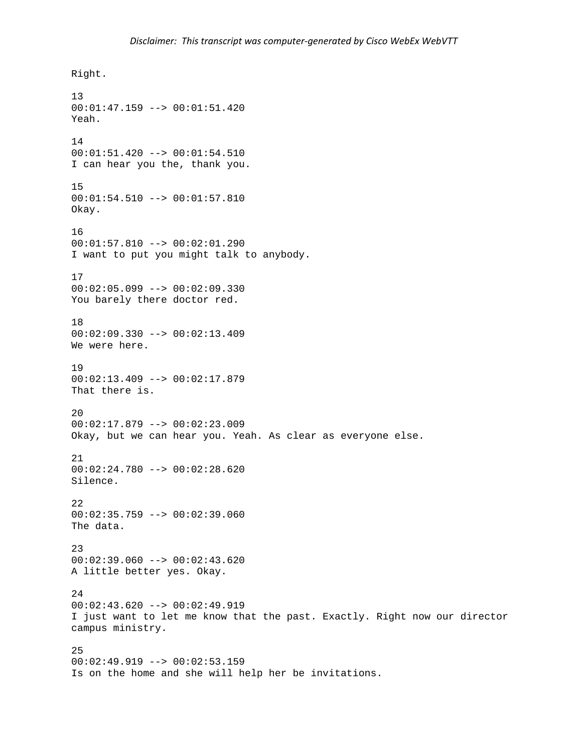```
Right. 
13 
00:01:47.159 --> 00:01:51.420 
Yeah. 
14 
00:01:51.420 --> 00:01:54.510 
I can hear you the, thank you. 
15 
00:01:54.510 --> 00:01:57.810 
Okay. 
16 
00:01:57.810 --> 00:02:01.290 
I want to put you might talk to anybody. 
17 
00:02:05.099 --> 00:02:09.330You barely there doctor red. 
18 
00:02:09.330 --> 00:02:13.409 
We were here. 
19 
00:02:13.409 --> 00:02:17.879 
That there is. 
20 
00:02:17.879 --> 00:02:23.009 
Okay, but we can hear you. Yeah. As clear as everyone else. 
21 
00:02:24.780 --> 00:02:28.620 
Silence. 
22 
00:02:35.759 --> 00:02:39.060The data. 
23 
00:02:39.060 --> 00:02:43.620 
A little better yes. Okay. 
24 
00:02:43.620 --> 00:02:49.919 
I just want to let me know that the past. Exactly. Right now our director 
campus ministry. 
25 
00:02:49.919 --> 00:02:53.159 
Is on the home and she will help her be invitations.
```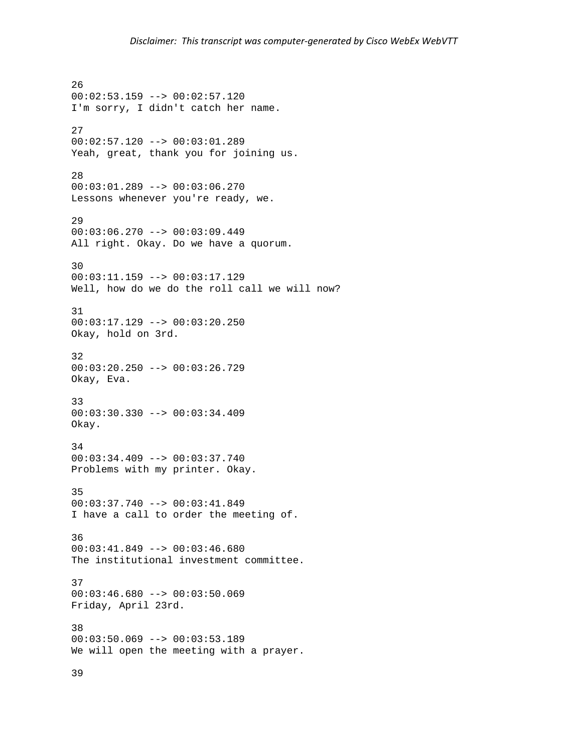26 00:02:53.159 --> 00:02:57.120 I'm sorry, I didn't catch her name. 27 00:02:57.120 --> 00:03:01.289 Yeah, great, thank you for joining us. 28 00:03:01.289 --> 00:03:06.270 Lessons whenever you're ready, we. 29 00:03:06.270 --> 00:03:09.449 All right. Okay. Do we have a quorum. 30 00:03:11.159 --> 00:03:17.129 Well, how do we do the roll call we will now? 31 00:03:17.129 --> 00:03:20.250 Okay, hold on 3rd. 32 00:03:20.250 --> 00:03:26.729 Okay, Eva. 33 00:03:30.330 --> 00:03:34.409 Okay. 34 00:03:34.409 --> 00:03:37.740 Problems with my printer. Okay. 35 00:03:37.740 --> 00:03:41.849 I have a call to order the meeting of. 36 00:03:41.849 --> 00:03:46.680 The institutional investment committee. 37  $00:03:46.680$  -->  $00:03:50.069$ Friday, April 23rd. 38 00:03:50.069 --> 00:03:53.189 We will open the meeting with a prayer.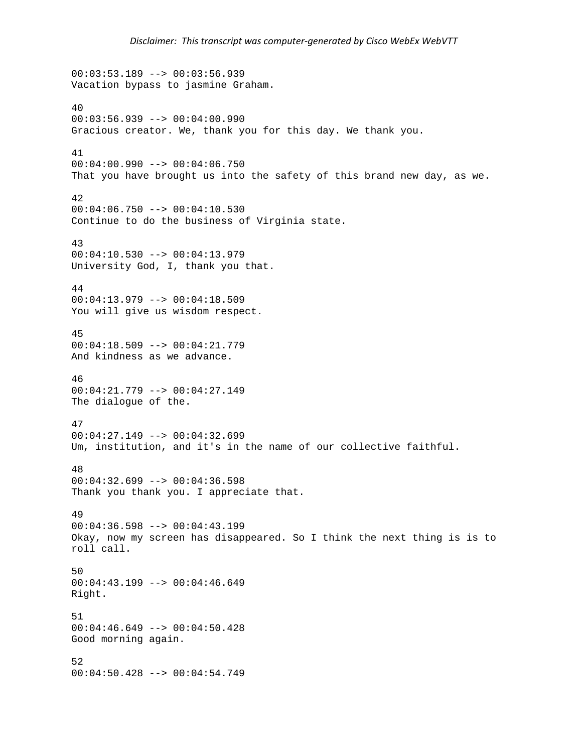```
00:03:53.189 --> 00:03:56.939 
Vacation bypass to jasmine Graham. 
40 
00:03:56.939 --> 00:04:00.990 
Gracious creator. We, thank you for this day. We thank you. 
41 
00:04:00.990 --> 00:04:06.750 
That you have brought us into the safety of this brand new day, as we. 
42 
00:04:06.750 --> 00:04:10.530Continue to do the business of Virginia state. 
43 
00:04:10.530 --> 00:04:13.979 
University God, I, thank you that. 
44 
00:04:13.979 --> 00:04:18.509 
You will give us wisdom respect. 
45 
00:04:18.509 --> 00:04:21.779 
And kindness as we advance. 
46 
00:04:21.779 --> 00:04:27.149 
The dialogue of the. 
47 
00:04:27.149 --> 00:04:32.699 
Um, institution, and it's in the name of our collective faithful. 
48 
00:04:32.699 --> 00:04:36.598 
Thank you thank you. I appreciate that. 
49 
00:04:36.598 --> 00:04:43.199Okay, now my screen has disappeared. So I think the next thing is is to 
roll call. 
50 
00:04:43.199 --> 00:04:46.649 
Right. 
51 
00:04:46.649 --> 00:04:50.428 
Good morning again. 
52 
00:04:50.428 --> 00:04:54.749
```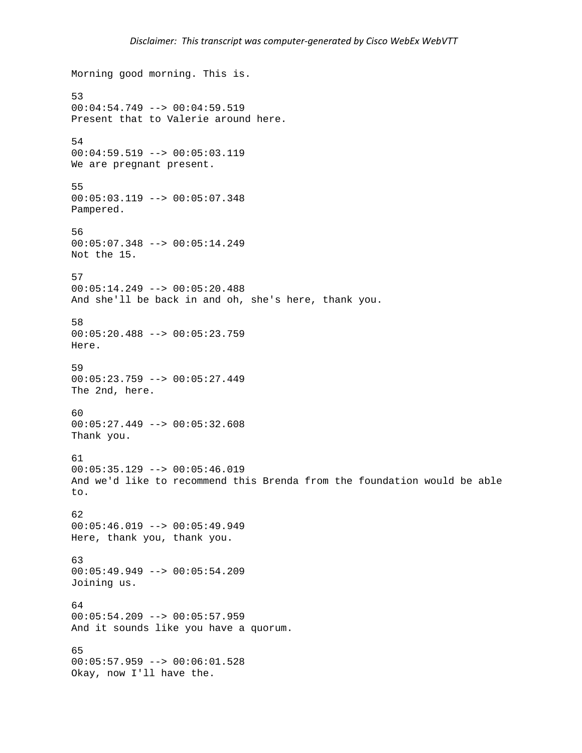```
Morning good morning. This is. 
53 
00:04:54.749 --> 00:04:59.519 
Present that to Valerie around here. 
54 
00:04:59.519 --> 00:05:03.119 
We are pregnant present. 
55 
00:05:03.119 --> 00:05:07.348 
Pampered. 
56 
00:05:07.348 --> 00:05:14.249 
Not the 15. 
57 
00:05:14.249 --> 00:05:20.488 
And she'll be back in and oh, she's here, thank you. 
58 
00:05:20.488 --> 00:05:23.759 
Here. 
59 
00:05:23.759 --> 00:05:27.449 
The 2nd, here. 
60 
00:05:27.449 --> 00:05:32.608 
Thank you. 
61 
00:05:35.129 --> 00:05:46.019And we'd like to recommend this Brenda from the foundation would be able 
to. 
62 
00:05:46.019 --> 00:05:49.949Here, thank you, thank you. 
63 
00:05:49.949 --> 00:05:54.209 
Joining us. 
64 
00:05:54.209 --> 00:05:57.959And it sounds like you have a quorum. 
65 
00:05:57.959 --> 00:06:01.528 
Okay, now I'll have the.
```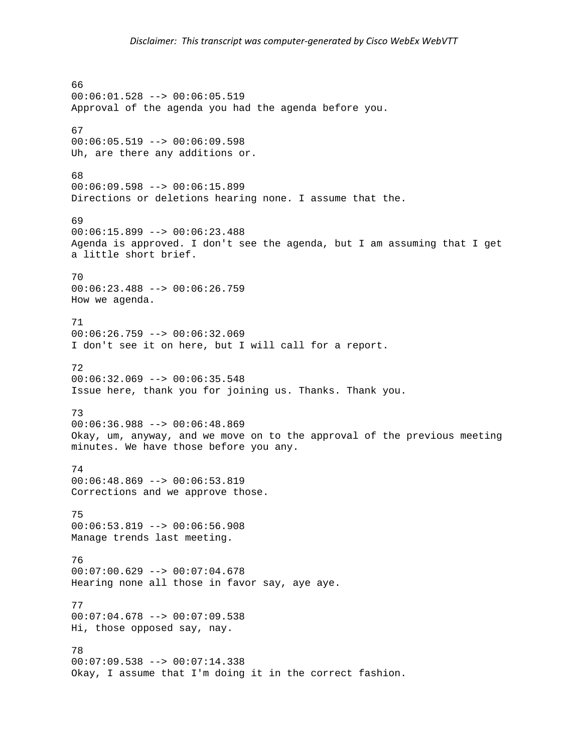66 00:06:01.528 --> 00:06:05.519 Approval of the agenda you had the agenda before you. 67 00:06:05.519 --> 00:06:09.598 Uh, are there any additions or. 68 00:06:09.598 --> 00:06:15.899 Directions or deletions hearing none. I assume that the. 69 00:06:15.899 --> 00:06:23.488 Agenda is approved. I don't see the agenda, but I am assuming that I get a little short brief. 70 00:06:23.488 --> 00:06:26.759 How we agenda. 71 00:06:26.759 --> 00:06:32.069 I don't see it on here, but I will call for a report. 72  $00:06:32.069$  -->  $00:06:35.548$ Issue here, thank you for joining us. Thanks. Thank you. 73 00:06:36.988 --> 00:06:48.869 Okay, um, anyway, and we move on to the approval of the previous meeting minutes. We have those before you any. 74 00:06:48.869 --> 00:06:53.819 Corrections and we approve those. 75 00:06:53.819 --> 00:06:56.908 Manage trends last meeting. 76  $00:07:00.629$  -->  $00:07:04.678$ Hearing none all those in favor say, aye aye. 77 00:07:04.678 --> 00:07:09.538 Hi, those opposed say, nay. 78 00:07:09.538 --> 00:07:14.338 Okay, I assume that I'm doing it in the correct fashion.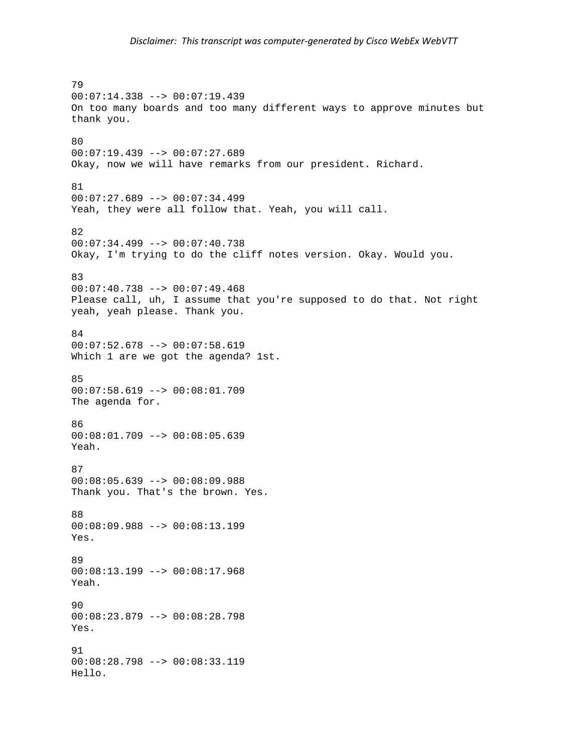79 00:07:14.338 --> 00:07:19.439 On too many boards and too many different ways to approve minutes but thank you. 80 00:07:19.439 --> 00:07:27.689 Okay, now we will have remarks from our president. Richard. 81  $00:07:27.689$  -->  $00:07:34.499$ Yeah, they were all follow that. Yeah, you will call. 82  $00:07:34.499$  -->  $00:07:40.738$ Okay, I'm trying to do the cliff notes version. Okay. Would you. 83  $00:07:40.738$  -->  $00:07:49.468$ Please call, uh, I assume that you're supposed to do that. Not right yeah, yeah please. Thank you. 84 00:07:52.678 --> 00:07:58.619 Which 1 are we got the agenda? 1st. 85 00:07:58.619 --> 00:08:01.709 The agenda for. 86 00:08:01.709 --> 00:08:05.639 Yeah. 87 00:08:05.639 --> 00:08:09.988 Thank you. That's the brown. Yes. 88 00:08:09.988 --> 00:08:13.199 Yes. 89 00:08:13.199 --> 00:08:17.968 Yeah.  $90$ 00:08:23.879 --> 00:08:28.798 Yes. 91 00:08:28.798 --> 00:08:33.119 Hello.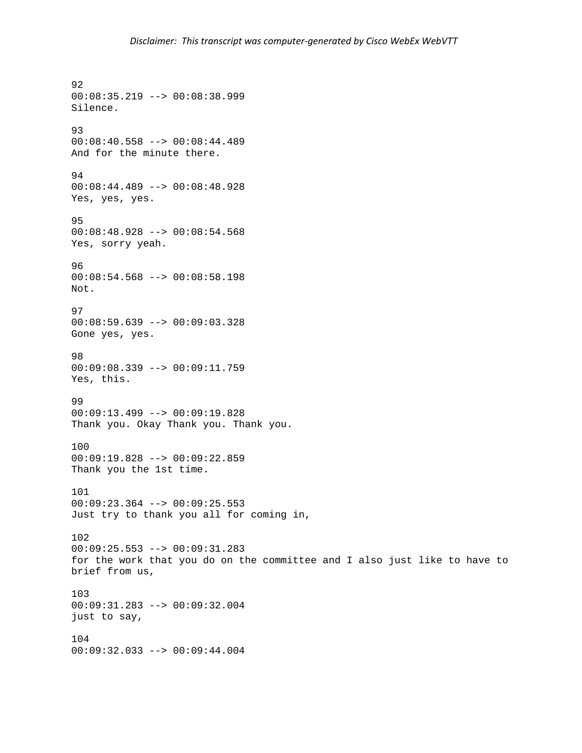92 00:08:35.219 --> 00:08:38.999 Silence. 93 00:08:40.558 --> 00:08:44.489 And for the minute there. 94 00:08:44.489 --> 00:08:48.928 Yes, yes, yes. 95 00:08:48.928 --> 00:08:54.568 Yes, sorry yeah. 96 00:08:54.568 --> 00:08:58.198 Not. 97 00:08:59.639 --> 00:09:03.328 Gone yes, yes. 98 00:09:08.339 --> 00:09:11.759 Yes, this. 99 00:09:13.499 --> 00:09:19.828 Thank you. Okay Thank you. Thank you. 100 00:09:19.828 --> 00:09:22.859 Thank you the 1st time. 101 00:09:23.364 --> 00:09:25.553 Just try to thank you all for coming in, 102 00:09:25.553 --> 00:09:31.283 for the work that you do on the committee and I also just like to have to brief from us, 103 00:09:31.283 --> 00:09:32.004 just to say, 104 00:09:32.033 --> 00:09:44.004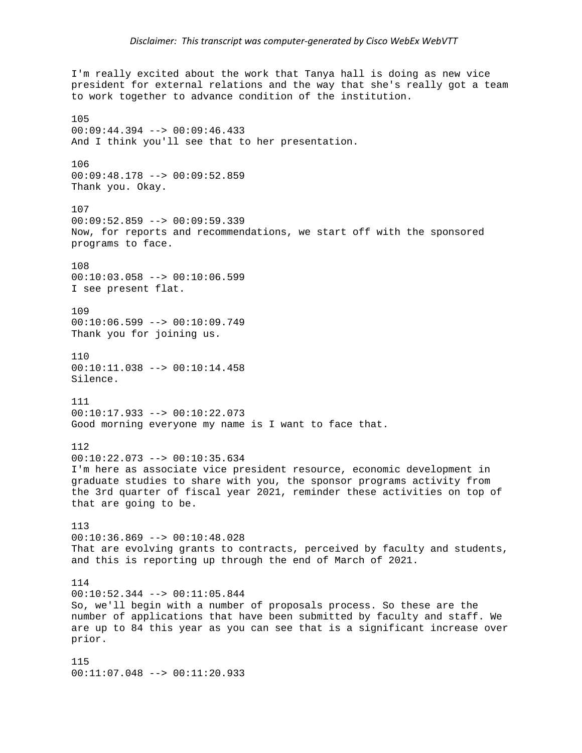I'm really excited about the work that Tanya hall is doing as new vice president for external relations and the way that she's really got a team to work together to advance condition of the institution. 105 00:09:44.394 --> 00:09:46.433 And I think you'll see that to her presentation. 106 00:09:48.178 --> 00:09:52.859 Thank you. Okay. 107 00:09:52.859 --> 00:09:59.339 Now, for reports and recommendations, we start off with the sponsored programs to face. 108 00:10:03.058 --> 00:10:06.599 I see present flat. 109 00:10:06.599 --> 00:10:09.749 Thank you for joining us. 110  $00:10:11.038$  -->  $00:10:14.458$ Silence. 111 00:10:17.933 --> 00:10:22.073 Good morning everyone my name is I want to face that. 112 00:10:22.073 --> 00:10:35.634 I'm here as associate vice president resource, economic development in graduate studies to share with you, the sponsor programs activity from the 3rd quarter of fiscal year 2021, reminder these activities on top of that are going to be. 113 00:10:36.869 --> 00:10:48.028 That are evolving grants to contracts, perceived by faculty and students, and this is reporting up through the end of March of 2021. 114 00:10:52.344 --> 00:11:05.844 So, we'll begin with a number of proposals process. So these are the number of applications that have been submitted by faculty and staff. We are up to 84 this year as you can see that is a significant increase over prior. 115 00:11:07.048 --> 00:11:20.933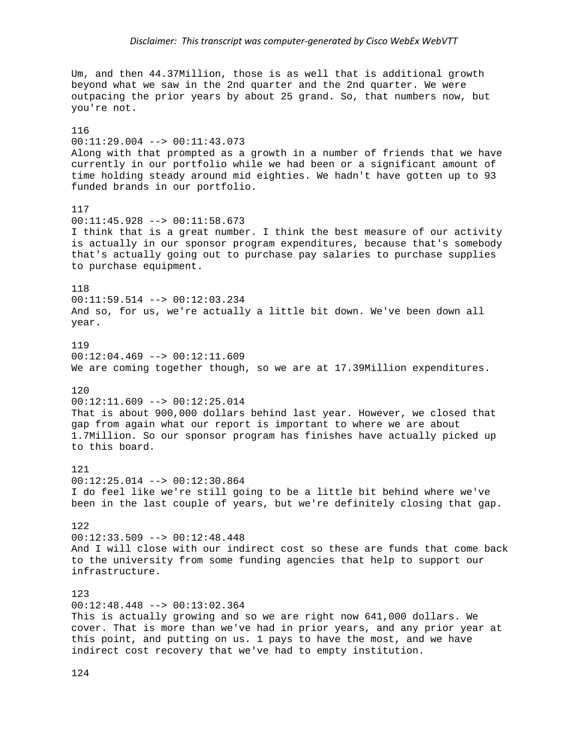Um, and then 44.37Million, those is as well that is additional growth beyond what we saw in the 2nd quarter and the 2nd quarter. We were outpacing the prior years by about 25 grand. So, that numbers now, but you're not.

116 00:11:29.004 --> 00:11:43.073 Along with that prompted as a growth in a number of friends that we have currently in our portfolio while we had been or a significant amount of time holding steady around mid eighties. We hadn't have gotten up to 93 funded brands in our portfolio. 117 00:11:45.928 --> 00:11:58.673 I think that is a great number. I think the best measure of our activity is actually in our sponsor program expenditures, because that's somebody that's actually going out to purchase pay salaries to purchase supplies to purchase equipment. 118 00:11:59.514 --> 00:12:03.234 And so, for us, we're actually a little bit down. We've been down all year. 119  $00:12:04.469$  -->  $00:12:11.609$ We are coming together though, so we are at 17.39Million expenditures. 120  $00:12:11.609$  -->  $00:12:25.014$ That is about 900,000 dollars behind last year. However, we closed that gap from again what our report is important to where we are about 1.7Million. So our sponsor program has finishes have actually picked up to this board. 121 00:12:25.014 --> 00:12:30.864 I do feel like we're still going to be a little bit behind where we've been in the last couple of years, but we're definitely closing that gap. 122  $00:12:33.509$  -->  $00:12:48.448$ And I will close with our indirect cost so these are funds that come back to the university from some funding agencies that help to support our infrastructure. 123 00:12:48.448 --> 00:13:02.364 This is actually growing and so we are right now 641,000 dollars. We cover. That is more than we've had in prior years, and any prior year at this point, and putting on us. 1 pays to have the most, and we have indirect cost recovery that we've had to empty institution.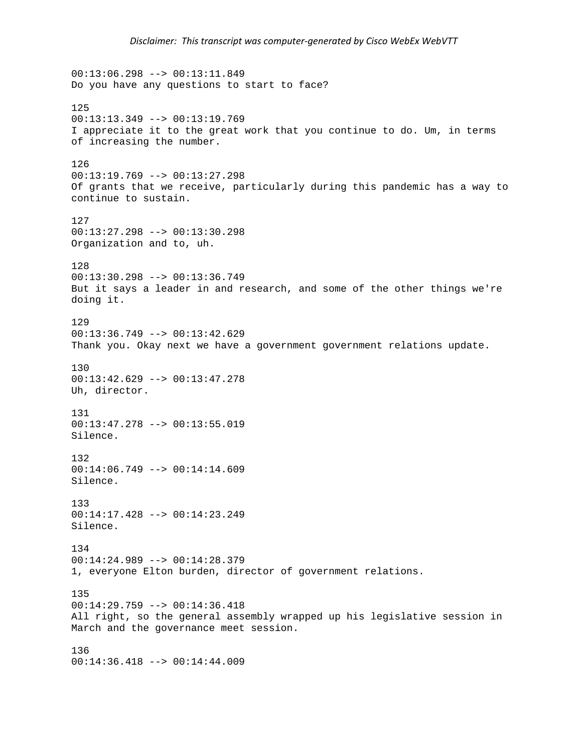$00:13:06.298$  -->  $00:13:11.849$ Do you have any questions to start to face? 125 00:13:13.349 --> 00:13:19.769 I appreciate it to the great work that you continue to do. Um, in terms of increasing the number. 126 00:13:19.769 --> 00:13:27.298 Of grants that we receive, particularly during this pandemic has a way to continue to sustain. 127 00:13:27.298 --> 00:13:30.298 Organization and to, uh. 128 00:13:30.298 --> 00:13:36.749 But it says a leader in and research, and some of the other things we're doing it. 129  $00:13:36.749$  -->  $00:13:42.629$ Thank you. Okay next we have a government government relations update. 130 00:13:42.629 --> 00:13:47.278 Uh, director. 131 00:13:47.278 --> 00:13:55.019 Silence. 132 00:14:06.749 --> 00:14:14.609 Silence. 133 00:14:17.428 --> 00:14:23.249 Silence. 134 00:14:24.989 --> 00:14:28.379 1, everyone Elton burden, director of government relations. 135 00:14:29.759 --> 00:14:36.418 All right, so the general assembly wrapped up his legislative session in March and the governance meet session. 136 00:14:36.418 --> 00:14:44.009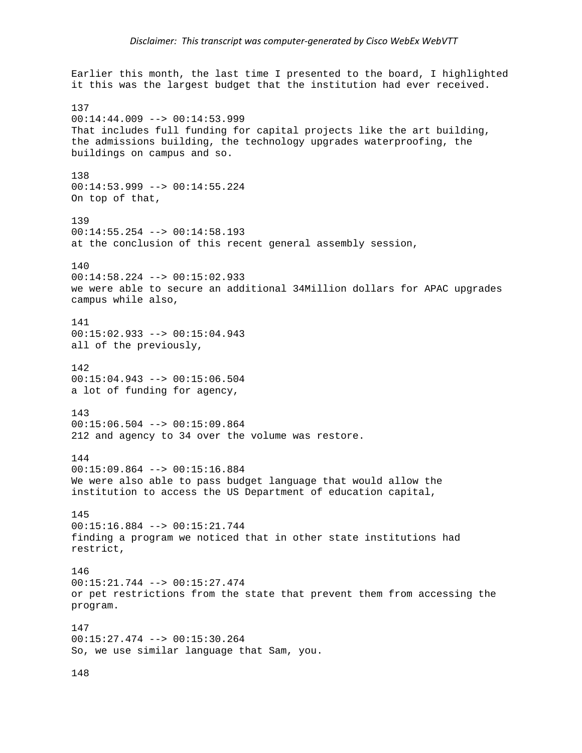Earlier this month, the last time I presented to the board, I highlighted it this was the largest budget that the institution had ever received. 137 00:14:44.009 --> 00:14:53.999 That includes full funding for capital projects like the art building, the admissions building, the technology upgrades waterproofing, the buildings on campus and so. 138 00:14:53.999 --> 00:14:55.224 On top of that, 139 00:14:55.254 --> 00:14:58.193 at the conclusion of this recent general assembly session, 140 00:14:58.224 --> 00:15:02.933 we were able to secure an additional 34Million dollars for APAC upgrades campus while also, 141 00:15:02.933 --> 00:15:04.943 all of the previously, 142  $00:15:04.943$  -->  $00:15:06.504$ a lot of funding for agency, 143 00:15:06.504 --> 00:15:09.864 212 and agency to 34 over the volume was restore. 144 00:15:09.864 --> 00:15:16.884 We were also able to pass budget language that would allow the institution to access the US Department of education capital, 145 00:15:16.884 --> 00:15:21.744 finding a program we noticed that in other state institutions had restrict, 146 00:15:21.744 --> 00:15:27.474 or pet restrictions from the state that prevent them from accessing the program. 147 00:15:27.474 --> 00:15:30.264 So, we use similar language that Sam, you.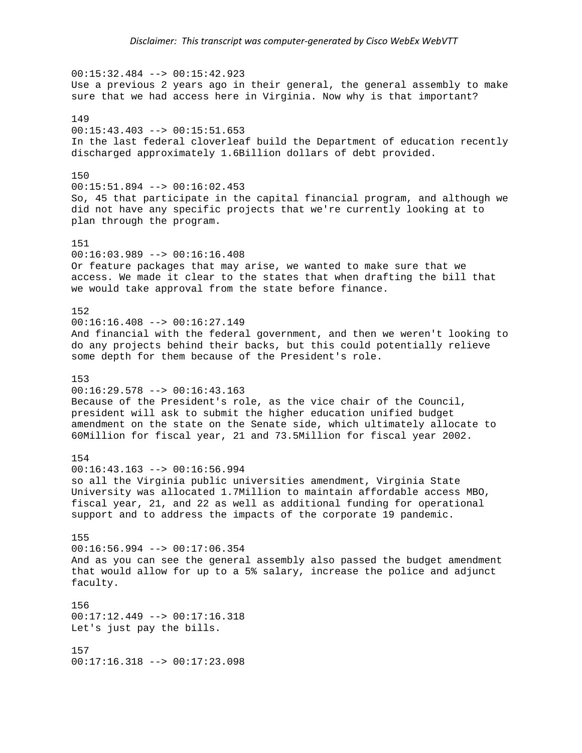00:15:32.484 --> 00:15:42.923 Use a previous 2 years ago in their general, the general assembly to make sure that we had access here in Virginia. Now why is that important? 149  $00:15:43.403$  -->  $00:15:51.653$ In the last federal cloverleaf build the Department of education recently discharged approximately 1.6Billion dollars of debt provided. 150 00:15:51.894 --> 00:16:02.453 So, 45 that participate in the capital financial program, and although we did not have any specific projects that we're currently looking at to plan through the program. 151 00:16:03.989 --> 00:16:16.408 Or feature packages that may arise, we wanted to make sure that we access. We made it clear to the states that when drafting the bill that we would take approval from the state before finance. 152 00:16:16.408 --> 00:16:27.149 And financial with the federal government, and then we weren't looking to do any projects behind their backs, but this could potentially relieve some depth for them because of the President's role. 153 00:16:29.578 --> 00:16:43.163 Because of the President's role, as the vice chair of the Council, president will ask to submit the higher education unified budget amendment on the state on the Senate side, which ultimately allocate to 60Million for fiscal year, 21 and 73.5Million for fiscal year 2002. 154  $00:16:43.163$  -->  $00:16:56.994$ so all the Virginia public universities amendment, Virginia State University was allocated 1.7Million to maintain affordable access MBO, fiscal year, 21, and 22 as well as additional funding for operational support and to address the impacts of the corporate 19 pandemic. 155 00:16:56.994 --> 00:17:06.354 And as you can see the general assembly also passed the budget amendment that would allow for up to a 5% salary, increase the police and adjunct faculty. 156 00:17:12.449 --> 00:17:16.318 Let's just pay the bills. 157 00:17:16.318 --> 00:17:23.098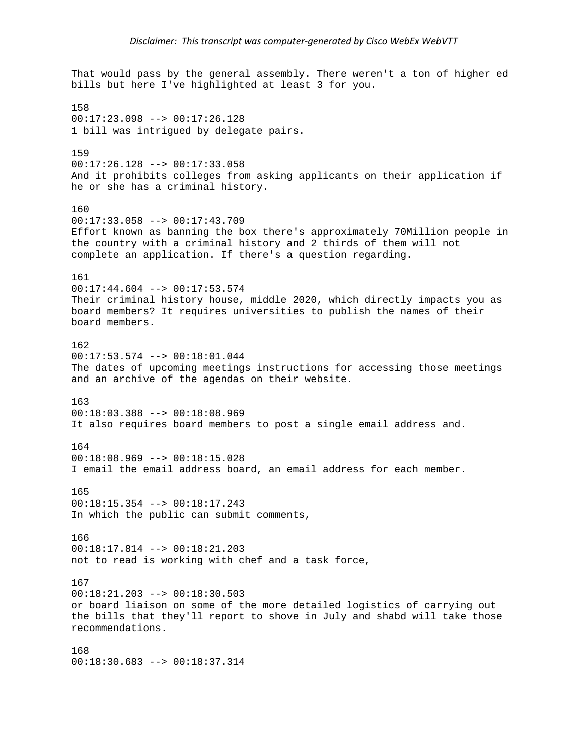That would pass by the general assembly. There weren't a ton of higher ed bills but here I've highlighted at least 3 for you. 158 00:17:23.098 --> 00:17:26.128 1 bill was intrigued by delegate pairs. 159 00:17:26.128 --> 00:17:33.058 And it prohibits colleges from asking applicants on their application if he or she has a criminal history. 160 00:17:33.058 --> 00:17:43.709 Effort known as banning the box there's approximately 70Million people in the country with a criminal history and 2 thirds of them will not complete an application. If there's a question regarding. 161 00:17:44.604 --> 00:17:53.574 Their criminal history house, middle 2020, which directly impacts you as board members? It requires universities to publish the names of their board members. 162 00:17:53.574 --> 00:18:01.044 The dates of upcoming meetings instructions for accessing those meetings and an archive of the agendas on their website. 163 00:18:03.388 --> 00:18:08.969 It also requires board members to post a single email address and. 164 00:18:08.969 --> 00:18:15.028 I email the email address board, an email address for each member. 165 00:18:15.354 --> 00:18:17.243 In which the public can submit comments, 166 00:18:17.814 --> 00:18:21.203 not to read is working with chef and a task force, 167 00:18:21.203 --> 00:18:30.503 or board liaison on some of the more detailed logistics of carrying out the bills that they'll report to shove in July and shabd will take those recommendations. 168 00:18:30.683 --> 00:18:37.314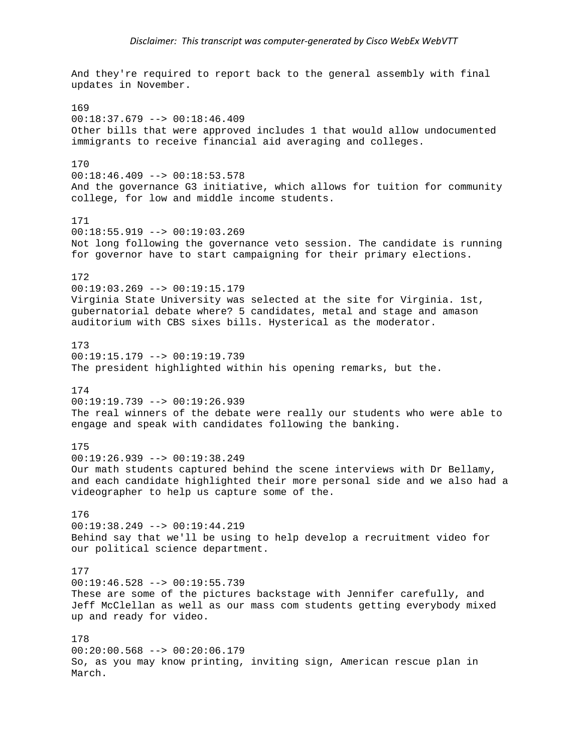And they're required to report back to the general assembly with final updates in November. 169  $00:18:37.679$  -->  $00:18:46.409$ Other bills that were approved includes 1 that would allow undocumented immigrants to receive financial aid averaging and colleges. 170  $00:18:46.409$  -->  $00:18:53.578$ And the governance G3 initiative, which allows for tuition for community college, for low and middle income students. 171  $00:18:55.919$  -->  $00:19:03.269$ Not long following the governance veto session. The candidate is running for governor have to start campaigning for their primary elections. 172 00:19:03.269 --> 00:19:15.179 Virginia State University was selected at the site for Virginia. 1st, gubernatorial debate where? 5 candidates, metal and stage and amason auditorium with CBS sixes bills. Hysterical as the moderator. 173 00:19:15.179 --> 00:19:19.739 The president highlighted within his opening remarks, but the. 174  $00:19:19.739$  -->  $00:19:26.939$ The real winners of the debate were really our students who were able to engage and speak with candidates following the banking. 175 00:19:26.939 --> 00:19:38.249 Our math students captured behind the scene interviews with Dr Bellamy, and each candidate highlighted their more personal side and we also had a videographer to help us capture some of the. 176 00:19:38.249 --> 00:19:44.219 Behind say that we'll be using to help develop a recruitment video for our political science department. 177 00:19:46.528 --> 00:19:55.739 These are some of the pictures backstage with Jennifer carefully, and Jeff McClellan as well as our mass com students getting everybody mixed up and ready for video. 178  $00:20:00.568$  -->  $00:20:06.179$ So, as you may know printing, inviting sign, American rescue plan in March.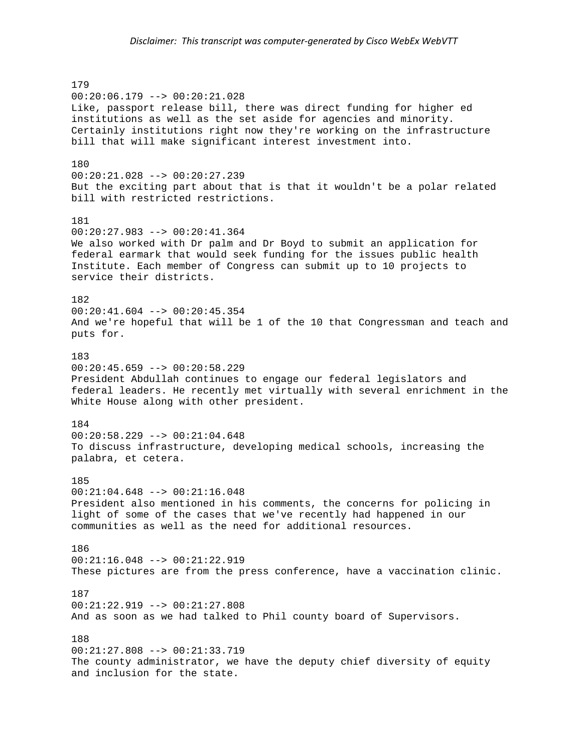179 00:20:06.179 --> 00:20:21.028 Like, passport release bill, there was direct funding for higher ed institutions as well as the set aside for agencies and minority. Certainly institutions right now they're working on the infrastructure bill that will make significant interest investment into. 180 00:20:21.028 --> 00:20:27.239 But the exciting part about that is that it wouldn't be a polar related bill with restricted restrictions. 181 00:20:27.983 --> 00:20:41.364 We also worked with Dr palm and Dr Boyd to submit an application for federal earmark that would seek funding for the issues public health Institute. Each member of Congress can submit up to 10 projects to service their districts. 182  $00:20:41.604$  -->  $00:20:45.354$ And we're hopeful that will be 1 of the 10 that Congressman and teach and puts for. 183  $00:20:45.659$  -->  $00:20:58.229$ President Abdullah continues to engage our federal legislators and federal leaders. He recently met virtually with several enrichment in the White House along with other president. 184 00:20:58.229 --> 00:21:04.648 To discuss infrastructure, developing medical schools, increasing the palabra, et cetera. 185 00:21:04.648 --> 00:21:16.048 President also mentioned in his comments, the concerns for policing in light of some of the cases that we've recently had happened in our communities as well as the need for additional resources. 186 00:21:16.048 --> 00:21:22.919 These pictures are from the press conference, have a vaccination clinic. 187  $00:21:22.919$  -->  $00:21:27.808$ And as soon as we had talked to Phil county board of Supervisors. 188 00:21:27.808 --> 00:21:33.719 The county administrator, we have the deputy chief diversity of equity and inclusion for the state.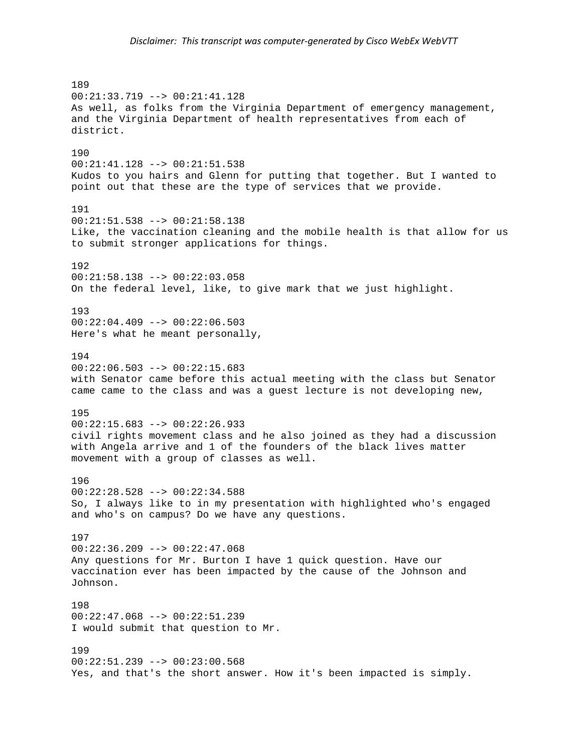189 00:21:33.719 --> 00:21:41.128 As well, as folks from the Virginia Department of emergency management, and the Virginia Department of health representatives from each of district. 190 00:21:41.128 --> 00:21:51.538 Kudos to you hairs and Glenn for putting that together. But I wanted to point out that these are the type of services that we provide. 191 00:21:51.538 --> 00:21:58.138 Like, the vaccination cleaning and the mobile health is that allow for us to submit stronger applications for things. 192 00:21:58.138 --> 00:22:03.058 On the federal level, like, to give mark that we just highlight. 193 00:22:04.409 --> 00:22:06.503 Here's what he meant personally, 194  $00:22:06.503$  -->  $00:22:15.683$ with Senator came before this actual meeting with the class but Senator came came to the class and was a guest lecture is not developing new, 195  $00:22:15.683$  -->  $00:22:26.933$ civil rights movement class and he also joined as they had a discussion with Angela arrive and 1 of the founders of the black lives matter movement with a group of classes as well. 196 00:22:28.528 --> 00:22:34.588 So, I always like to in my presentation with highlighted who's engaged and who's on campus? Do we have any questions. 197 00:22:36.209 --> 00:22:47.068 Any questions for Mr. Burton I have 1 quick question. Have our vaccination ever has been impacted by the cause of the Johnson and Johnson. 198 00:22:47.068 --> 00:22:51.239 I would submit that question to Mr. 199 00:22:51.239 --> 00:23:00.568 Yes, and that's the short answer. How it's been impacted is simply.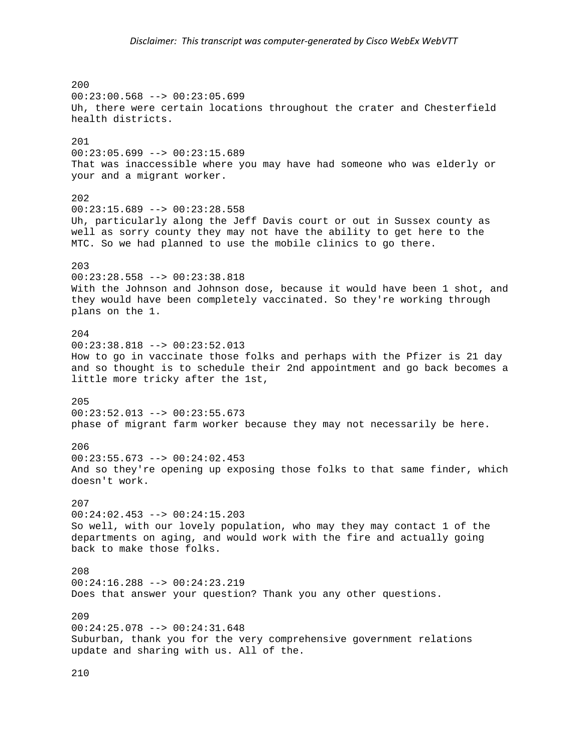200 00:23:00.568 --> 00:23:05.699 Uh, there were certain locations throughout the crater and Chesterfield health districts. 201 00:23:05.699 --> 00:23:15.689 That was inaccessible where you may have had someone who was elderly or your and a migrant worker. 202  $00:23:15.689$  -->  $00:23:28.558$ Uh, particularly along the Jeff Davis court or out in Sussex county as well as sorry county they may not have the ability to get here to the MTC. So we had planned to use the mobile clinics to go there. 203 00:23:28.558 --> 00:23:38.818 With the Johnson and Johnson dose, because it would have been 1 shot, and they would have been completely vaccinated. So they're working through plans on the 1. 204 00:23:38.818 --> 00:23:52.013 How to go in vaccinate those folks and perhaps with the Pfizer is 21 day and so thought is to schedule their 2nd appointment and go back becomes a little more tricky after the 1st, 205 00:23:52.013 --> 00:23:55.673 phase of migrant farm worker because they may not necessarily be here. 206 00:23:55.673 --> 00:24:02.453 And so they're opening up exposing those folks to that same finder, which doesn't work. 207  $00:24:02.453$  -->  $00:24:15.203$ So well, with our lovely population, who may they may contact 1 of the departments on aging, and would work with the fire and actually going back to make those folks. 208 00:24:16.288 --> 00:24:23.219 Does that answer your question? Thank you any other questions. 209 00:24:25.078 --> 00:24:31.648 Suburban, thank you for the very comprehensive government relations update and sharing with us. All of the.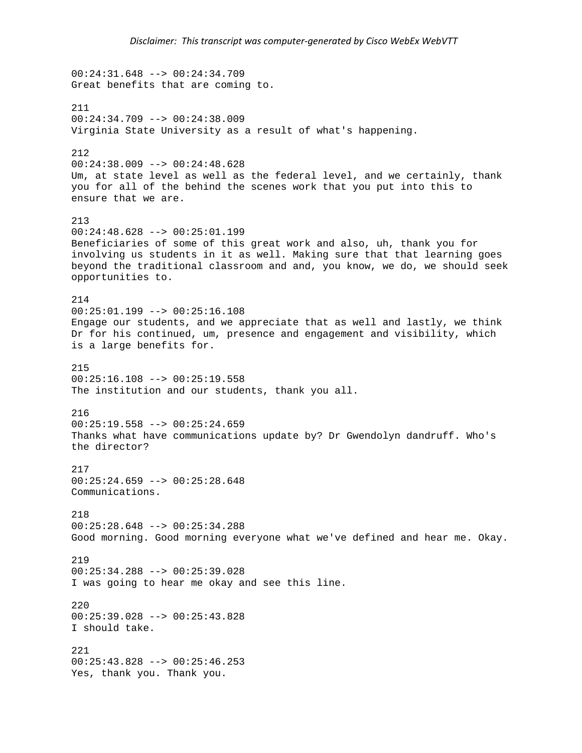00:24:31.648 --> 00:24:34.709 Great benefits that are coming to. 211 00:24:34.709 --> 00:24:38.009 Virginia State University as a result of what's happening. 212  $00:24:38.009$  -->  $00:24:48.628$ Um, at state level as well as the federal level, and we certainly, thank you for all of the behind the scenes work that you put into this to ensure that we are. 213 00:24:48.628 --> 00:25:01.199 Beneficiaries of some of this great work and also, uh, thank you for involving us students in it as well. Making sure that that learning goes beyond the traditional classroom and and, you know, we do, we should seek opportunities to. 214  $00:25:01.199$  -->  $00:25:16.108$ Engage our students, and we appreciate that as well and lastly, we think Dr for his continued, um, presence and engagement and visibility, which is a large benefits for. 215  $00:25:16.108$  -->  $00:25:19.558$ The institution and our students, thank you all. 216  $00:25:19.558$  -->  $00:25:24.659$ Thanks what have communications update by? Dr Gwendolyn dandruff. Who's the director? 217  $00:25:24.659$  -->  $00:25:28.648$ Communications. 218 00:25:28.648 --> 00:25:34.288 Good morning. Good morning everyone what we've defined and hear me. Okay. 219 00:25:34.288 --> 00:25:39.028 I was going to hear me okay and see this line. 220 00:25:39.028 --> 00:25:43.828 I should take. 221 00:25:43.828 --> 00:25:46.253 Yes, thank you. Thank you.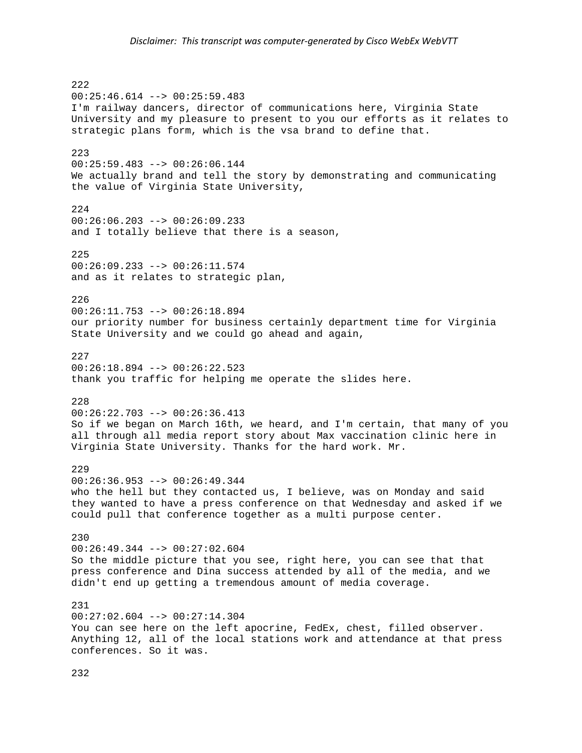222  $00:25:46.614$  -->  $00:25:59.483$ I'm railway dancers, director of communications here, Virginia State University and my pleasure to present to you our efforts as it relates to strategic plans form, which is the vsa brand to define that. 223  $00:25:59.483$  -->  $00:26:06.144$ We actually brand and tell the story by demonstrating and communicating the value of Virginia State University, 224 00:26:06.203 --> 00:26:09.233 and I totally believe that there is a season, 225 00:26:09.233 --> 00:26:11.574 and as it relates to strategic plan, 226  $00:26:11.753$  -->  $00:26:18.894$ our priority number for business certainly department time for Virginia State University and we could go ahead and again, 227  $00:26:18.894$  -->  $00:26:22.523$ thank you traffic for helping me operate the slides here. 228 00:26:22.703 --> 00:26:36.413 So if we began on March 16th, we heard, and I'm certain, that many of you all through all media report story about Max vaccination clinic here in Virginia State University. Thanks for the hard work. Mr. 229 00:26:36.953 --> 00:26:49.344 who the hell but they contacted us, I believe, was on Monday and said they wanted to have a press conference on that Wednesday and asked if we could pull that conference together as a multi purpose center. 230 00:26:49.344 --> 00:27:02.604 So the middle picture that you see, right here, you can see that that press conference and Dina success attended by all of the media, and we didn't end up getting a tremendous amount of media coverage. 231 00:27:02.604 --> 00:27:14.304 You can see here on the left apocrine, FedEx, chest, filled observer. Anything 12, all of the local stations work and attendance at that press conferences. So it was.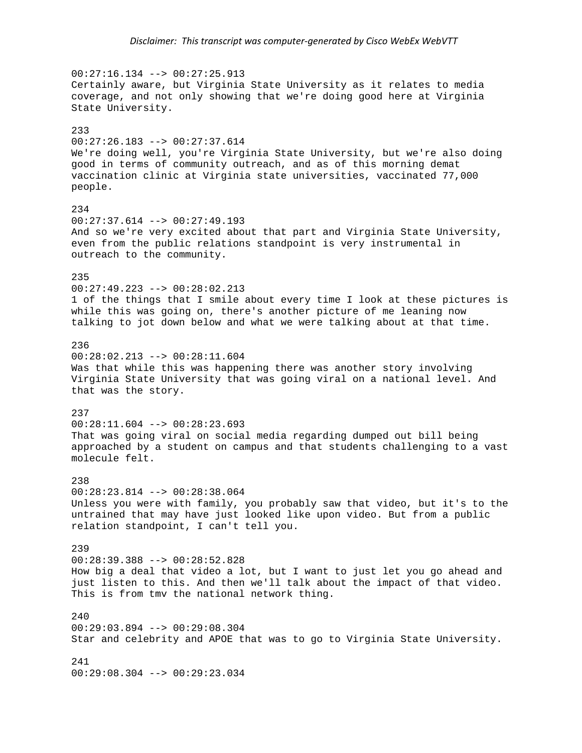$00:27:16.134$  -->  $00:27:25.913$ Certainly aware, but Virginia State University as it relates to media coverage, and not only showing that we're doing good here at Virginia State University. 233 00:27:26.183 --> 00:27:37.614 We're doing well, you're Virginia State University, but we're also doing good in terms of community outreach, and as of this morning demat vaccination clinic at Virginia state universities, vaccinated 77,000 people. 234 00:27:37.614 --> 00:27:49.193 And so we're very excited about that part and Virginia State University, even from the public relations standpoint is very instrumental in outreach to the community. 235 00:27:49.223 --> 00:28:02.213 1 of the things that I smile about every time I look at these pictures is while this was going on, there's another picture of me leaning now talking to jot down below and what we were talking about at that time. 236 00:28:02.213 --> 00:28:11.604 Was that while this was happening there was another story involving Virginia State University that was going viral on a national level. And that was the story. 237  $00:28:11.604$  -->  $00:28:23.693$ That was going viral on social media regarding dumped out bill being approached by a student on campus and that students challenging to a vast molecule felt. 238 00:28:23.814 --> 00:28:38.064 Unless you were with family, you probably saw that video, but it's to the untrained that may have just looked like upon video. But from a public relation standpoint, I can't tell you. 239 00:28:39.388 --> 00:28:52.828 How big a deal that video a lot, but I want to just let you go ahead and just listen to this. And then we'll talk about the impact of that video. This is from tmv the national network thing.  $240$ 00:29:03.894 --> 00:29:08.304 Star and celebrity and APOE that was to go to Virginia State University. 241 00:29:08.304 --> 00:29:23.034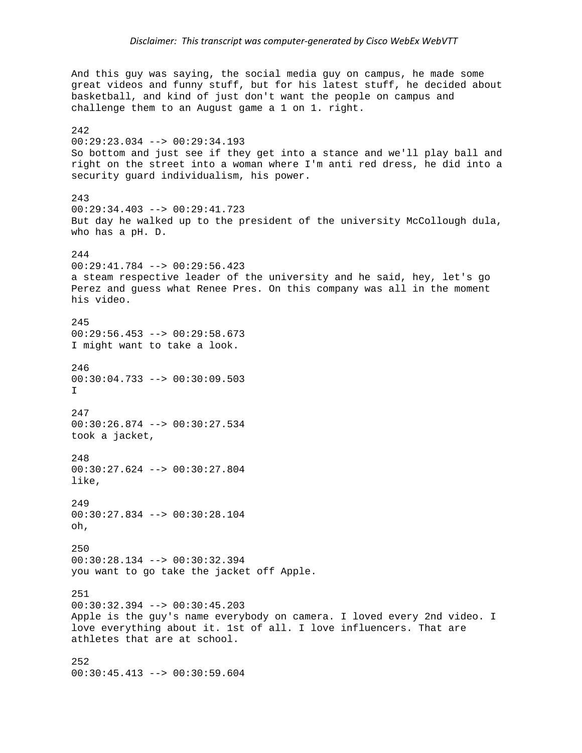And this guy was saying, the social media guy on campus, he made some great videos and funny stuff, but for his latest stuff, he decided about basketball, and kind of just don't want the people on campus and challenge them to an August game a 1 on 1. right. 242 00:29:23.034 --> 00:29:34.193 So bottom and just see if they get into a stance and we'll play ball and right on the street into a woman where I'm anti red dress, he did into a security guard individualism, his power. 243 00:29:34.403 --> 00:29:41.723 But day he walked up to the president of the university McCollough dula, who has a pH. D. 244 00:29:41.784 --> 00:29:56.423 a steam respective leader of the university and he said, hey, let's go Perez and guess what Renee Pres. On this company was all in the moment his video. 245 00:29:56.453 --> 00:29:58.673 I might want to take a look. 246 00:30:04.733 --> 00:30:09.503  $T$ 247 00:30:26.874 --> 00:30:27.534 took a jacket, 248 00:30:27.624 --> 00:30:27.804 like, 249 00:30:27.834 --> 00:30:28.104 oh, 250 00:30:28.134 --> 00:30:32.394 you want to go take the jacket off Apple. 251 00:30:32.394 --> 00:30:45.203 Apple is the guy's name everybody on camera. I loved every 2nd video. I love everything about it. 1st of all. I love influencers. That are athletes that are at school. 252 00:30:45.413 --> 00:30:59.604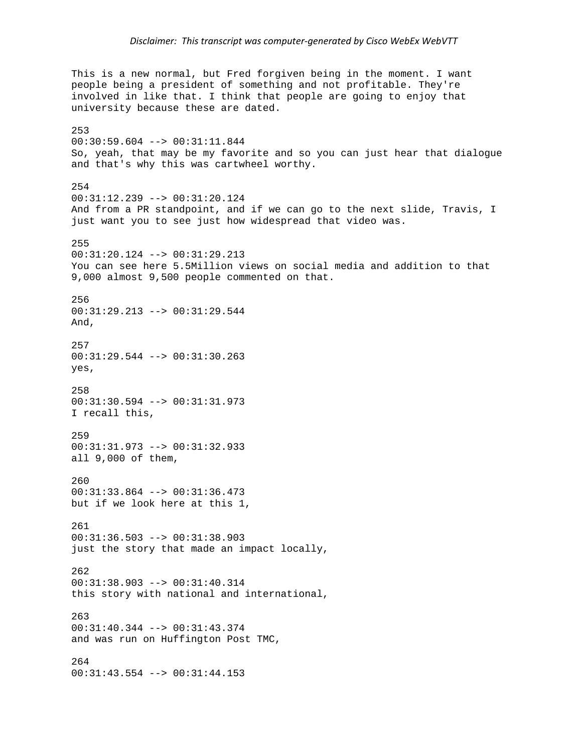This is a new normal, but Fred forgiven being in the moment. I want people being a president of something and not profitable. They're involved in like that. I think that people are going to enjoy that university because these are dated. 253 00:30:59.604 --> 00:31:11.844 So, yeah, that may be my favorite and so you can just hear that dialogue and that's why this was cartwheel worthy. 254 00:31:12.239 --> 00:31:20.124 And from a PR standpoint, and if we can go to the next slide, Travis, I just want you to see just how widespread that video was. 255 00:31:20.124 --> 00:31:29.213 You can see here 5.5Million views on social media and addition to that 9,000 almost 9,500 people commented on that. 256  $00:31:29.213$  -->  $00:31:29.544$ And, 257 00:31:29.544 --> 00:31:30.263 yes, 258 00:31:30.594 --> 00:31:31.973 I recall this, 259 00:31:31.973 --> 00:31:32.933 all 9,000 of them, 260 00:31:33.864 --> 00:31:36.473 but if we look here at this 1, 261 00:31:36.503 --> 00:31:38.903 just the story that made an impact locally, 262 00:31:38.903 --> 00:31:40.314 this story with national and international, 263 00:31:40.344 --> 00:31:43.374 and was run on Huffington Post TMC, 264 00:31:43.554 --> 00:31:44.153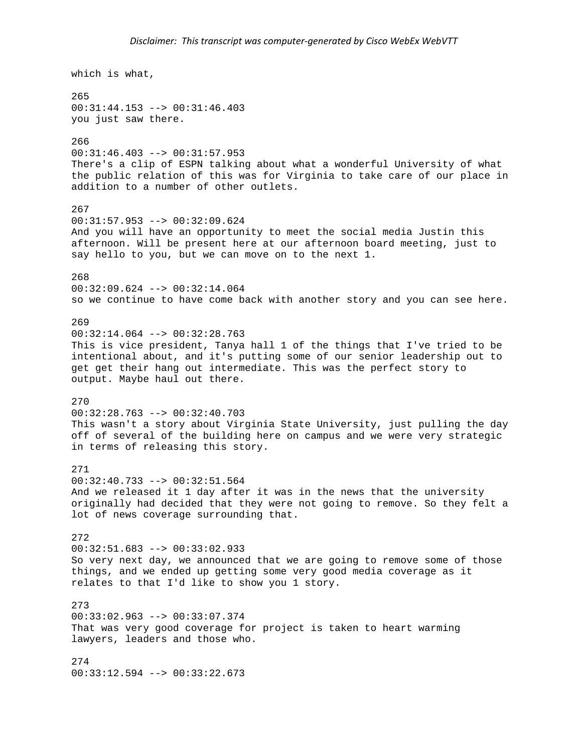which is what, 265 00:31:44.153 --> 00:31:46.403 you just saw there. 266 00:31:46.403 --> 00:31:57.953 There's a clip of ESPN talking about what a wonderful University of what the public relation of this was for Virginia to take care of our place in addition to a number of other outlets. 267 00:31:57.953 --> 00:32:09.624 And you will have an opportunity to meet the social media Justin this afternoon. Will be present here at our afternoon board meeting, just to say hello to you, but we can move on to the next 1. 268 00:32:09.624 --> 00:32:14.064 so we continue to have come back with another story and you can see here. 269  $00:32:14.064$  -->  $00:32:28.763$ This is vice president, Tanya hall 1 of the things that I've tried to be intentional about, and it's putting some of our senior leadership out to get get their hang out intermediate. This was the perfect story to output. Maybe haul out there. 270 00:32:28.763 --> 00:32:40.703 This wasn't a story about Virginia State University, just pulling the day off of several of the building here on campus and we were very strategic in terms of releasing this story. 271 00:32:40.733 --> 00:32:51.564 And we released it 1 day after it was in the news that the university originally had decided that they were not going to remove. So they felt a lot of news coverage surrounding that. 272 00:32:51.683 --> 00:33:02.933 So very next day, we announced that we are going to remove some of those things, and we ended up getting some very good media coverage as it relates to that I'd like to show you 1 story. 273 00:33:02.963 --> 00:33:07.374 That was very good coverage for project is taken to heart warming lawyers, leaders and those who. 274 00:33:12.594 --> 00:33:22.673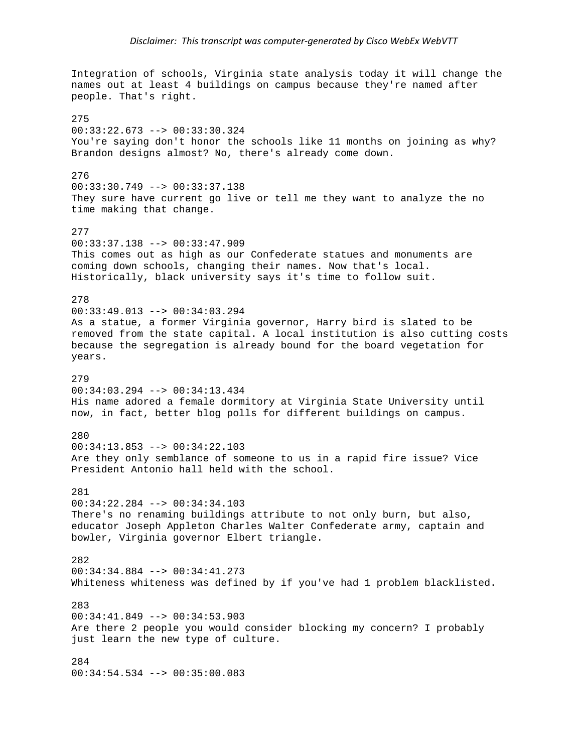Integration of schools, Virginia state analysis today it will change the names out at least 4 buildings on campus because they're named after people. That's right. 275 00:33:22.673 --> 00:33:30.324 You're saying don't honor the schools like 11 months on joining as why? Brandon designs almost? No, there's already come down. 276 00:33:30.749 --> 00:33:37.138 They sure have current go live or tell me they want to analyze the no time making that change. 277 00:33:37.138 --> 00:33:47.909 This comes out as high as our Confederate statues and monuments are coming down schools, changing their names. Now that's local. Historically, black university says it's time to follow suit. 278  $00:33:49.013$  -->  $00:34:03.294$ As a statue, a former Virginia governor, Harry bird is slated to be removed from the state capital. A local institution is also cutting costs because the segregation is already bound for the board vegetation for years. 279 00:34:03.294 --> 00:34:13.434 His name adored a female dormitory at Virginia State University until now, in fact, better blog polls for different buildings on campus. 280  $00:34:13.853$  -->  $00:34:22.103$ Are they only semblance of someone to us in a rapid fire issue? Vice President Antonio hall held with the school. 281 00:34:22.284 --> 00:34:34.103 There's no renaming buildings attribute to not only burn, but also, educator Joseph Appleton Charles Walter Confederate army, captain and bowler, Virginia governor Elbert triangle. 282 00:34:34.884 --> 00:34:41.273 Whiteness whiteness was defined by if you've had 1 problem blacklisted. 283 00:34:41.849 --> 00:34:53.903 Are there 2 people you would consider blocking my concern? I probably just learn the new type of culture. 284 00:34:54.534 --> 00:35:00.083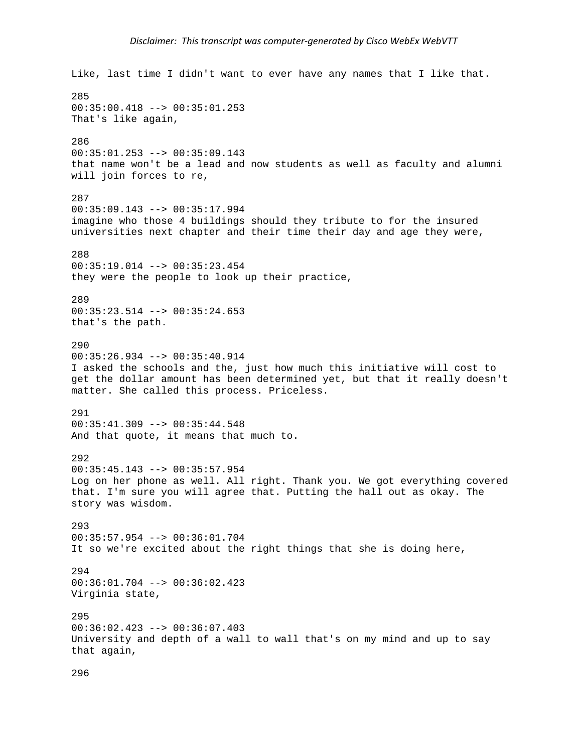Like, last time I didn't want to ever have any names that I like that. 285 00:35:00.418 --> 00:35:01.253 That's like again, 286 00:35:01.253 --> 00:35:09.143 that name won't be a lead and now students as well as faculty and alumni will join forces to re, 287 00:35:09.143 --> 00:35:17.994 imagine who those 4 buildings should they tribute to for the insured universities next chapter and their time their day and age they were, 288 00:35:19.014 --> 00:35:23.454 they were the people to look up their practice, 289  $00:35:23.514$  -->  $00:35:24.653$ that's the path. 290 00:35:26.934 --> 00:35:40.914 I asked the schools and the, just how much this initiative will cost to get the dollar amount has been determined yet, but that it really doesn't matter. She called this process. Priceless. 291 00:35:41.309 --> 00:35:44.548 And that quote, it means that much to. 292 00:35:45.143 --> 00:35:57.954 Log on her phone as well. All right. Thank you. We got everything covered that. I'm sure you will agree that. Putting the hall out as okay. The story was wisdom. 293 00:35:57.954 --> 00:36:01.704 It so we're excited about the right things that she is doing here, 294 00:36:01.704 --> 00:36:02.423 Virginia state, 295 00:36:02.423 --> 00:36:07.403 University and depth of a wall to wall that's on my mind and up to say that again,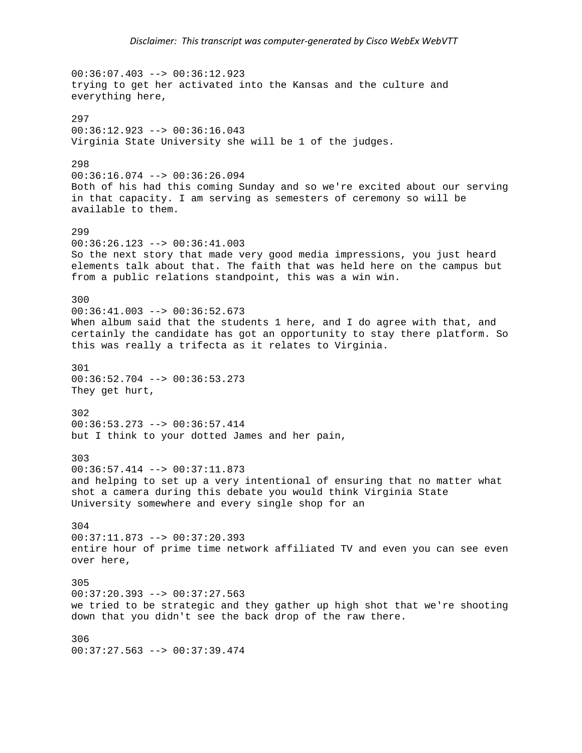$00:36:07.403$  -->  $00:36:12.923$ trying to get her activated into the Kansas and the culture and everything here, 297 00:36:12.923 --> 00:36:16.043 Virginia State University she will be 1 of the judges. 298 00:36:16.074 --> 00:36:26.094 Both of his had this coming Sunday and so we're excited about our serving in that capacity. I am serving as semesters of ceremony so will be available to them. 299  $00:36:26.123$  -->  $00:36:41.003$ So the next story that made very good media impressions, you just heard elements talk about that. The faith that was held here on the campus but from a public relations standpoint, this was a win win. 300  $00:36:41.003$  -->  $00:36:52.673$ When album said that the students 1 here, and I do agree with that, and certainly the candidate has got an opportunity to stay there platform. So this was really a trifecta as it relates to Virginia. 301  $00:36:52.704$  -->  $00:36:53.273$ They get hurt, 302 00:36:53.273 --> 00:36:57.414 but I think to your dotted James and her pain, 303  $00:36:57.414$  -->  $00:37:11.873$ and helping to set up a very intentional of ensuring that no matter what shot a camera during this debate you would think Virginia State University somewhere and every single shop for an 304 00:37:11.873 --> 00:37:20.393 entire hour of prime time network affiliated TV and even you can see even over here, 305 00:37:20.393 --> 00:37:27.563 we tried to be strategic and they gather up high shot that we're shooting down that you didn't see the back drop of the raw there. 306  $00:37:27.563$  -->  $00:37:39.474$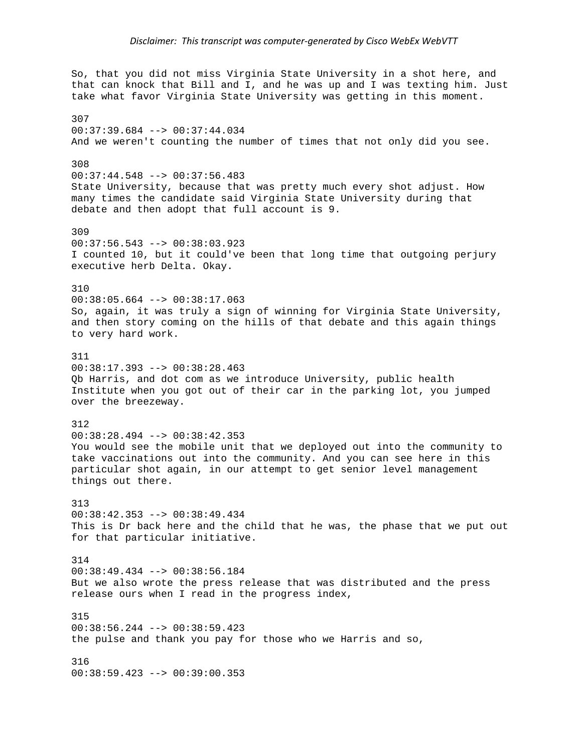So, that you did not miss Virginia State University in a shot here, and that can knock that Bill and I, and he was up and I was texting him. Just take what favor Virginia State University was getting in this moment. 307 00:37:39.684 --> 00:37:44.034 And we weren't counting the number of times that not only did you see. 308 00:37:44.548 --> 00:37:56.483 State University, because that was pretty much every shot adjust. How many times the candidate said Virginia State University during that debate and then adopt that full account is 9. 309  $00:37:56.543$  -->  $00:38:03.923$ I counted 10, but it could've been that long time that outgoing perjury executive herb Delta. Okay. 310 00:38:05.664 --> 00:38:17.063 So, again, it was truly a sign of winning for Virginia State University, and then story coming on the hills of that debate and this again things to very hard work. 311 00:38:17.393 --> 00:38:28.463 Qb Harris, and dot com as we introduce University, public health Institute when you got out of their car in the parking lot, you jumped over the breezeway. 312 00:38:28.494 --> 00:38:42.353 You would see the mobile unit that we deployed out into the community to take vaccinations out into the community. And you can see here in this particular shot again, in our attempt to get senior level management things out there. 313 00:38:42.353 --> 00:38:49.434 This is Dr back here and the child that he was, the phase that we put out for that particular initiative. 314 00:38:49.434 --> 00:38:56.184 But we also wrote the press release that was distributed and the press release ours when I read in the progress index, 315 00:38:56.244 --> 00:38:59.423 the pulse and thank you pay for those who we Harris and so, 316 00:38:59.423 --> 00:39:00.353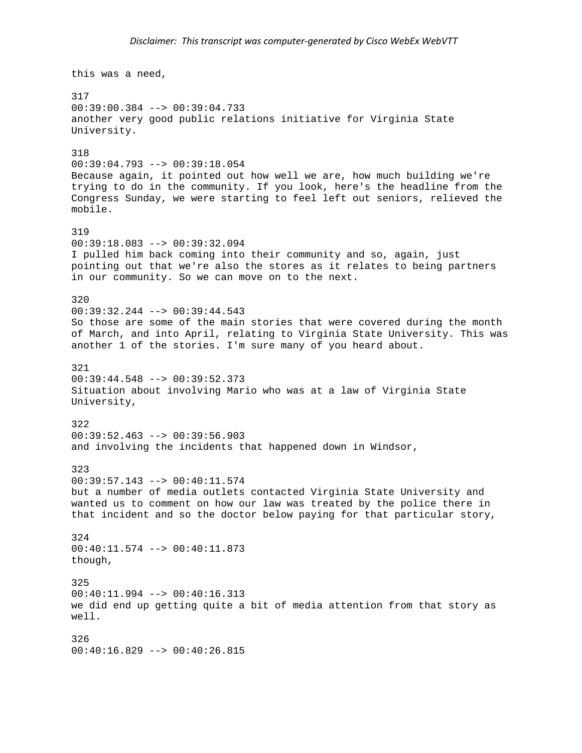this was a need, 317 00:39:00.384 --> 00:39:04.733 another very good public relations initiative for Virginia State University. 318 00:39:04.793 --> 00:39:18.054 Because again, it pointed out how well we are, how much building we're trying to do in the community. If you look, here's the headline from the Congress Sunday, we were starting to feel left out seniors, relieved the mobile. 319 00:39:18.083 --> 00:39:32.094 I pulled him back coming into their community and so, again, just pointing out that we're also the stores as it relates to being partners in our community. So we can move on to the next. 320  $00:39:32.244$  -->  $00:39:44.543$ So those are some of the main stories that were covered during the month of March, and into April, relating to Virginia State University. This was another 1 of the stories. I'm sure many of you heard about. 321  $00:39:44.548$  -->  $00:39:52.373$ Situation about involving Mario who was at a law of Virginia State University, 322 00:39:52.463 --> 00:39:56.903 and involving the incidents that happened down in Windsor, 323 00:39:57.143 --> 00:40:11.574 but a number of media outlets contacted Virginia State University and wanted us to comment on how our law was treated by the police there in that incident and so the doctor below paying for that particular story, 324 00:40:11.574 --> 00:40:11.873 though, 325  $00:40:11.994$  -->  $00:40:16.313$ we did end up getting quite a bit of media attention from that story as well. 326  $00:40:16.829$  -->  $00:40:26.815$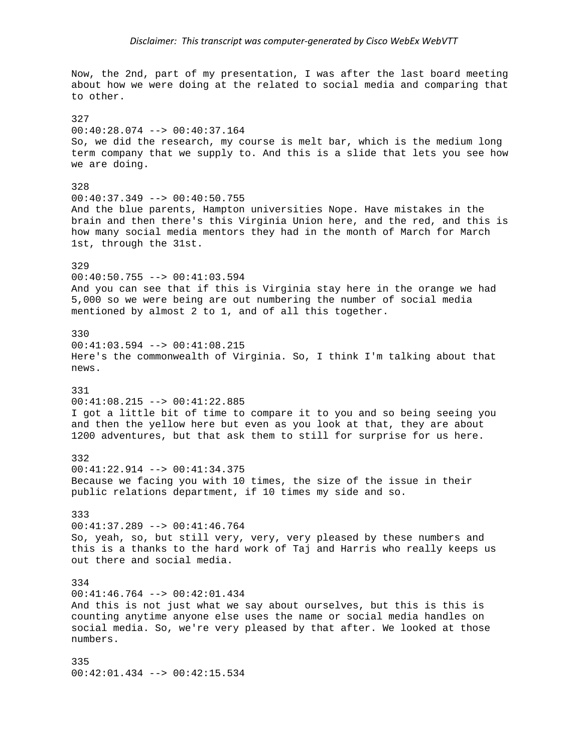Now, the 2nd, part of my presentation, I was after the last board meeting about how we were doing at the related to social media and comparing that to other. 327 00:40:28.074 --> 00:40:37.164 So, we did the research, my course is melt bar, which is the medium long term company that we supply to. And this is a slide that lets you see how we are doing. 328 00:40:37.349 --> 00:40:50.755 And the blue parents, Hampton universities Nope. Have mistakes in the brain and then there's this Virginia Union here, and the red, and this is how many social media mentors they had in the month of March for March 1st, through the 31st. 329 00:40:50.755 --> 00:41:03.594 And you can see that if this is Virginia stay here in the orange we had 5,000 so we were being are out numbering the number of social media mentioned by almost 2 to 1, and of all this together. 330 00:41:03.594 --> 00:41:08.215 Here's the commonwealth of Virginia. So, I think I'm talking about that news. 331 00:41:08.215 --> 00:41:22.885 I got a little bit of time to compare it to you and so being seeing you and then the yellow here but even as you look at that, they are about 1200 adventures, but that ask them to still for surprise for us here. 332 00:41:22.914 --> 00:41:34.375 Because we facing you with 10 times, the size of the issue in their public relations department, if 10 times my side and so. 333 00:41:37.289 --> 00:41:46.764 So, yeah, so, but still very, very, very pleased by these numbers and this is a thanks to the hard work of Taj and Harris who really keeps us out there and social media. 334 00:41:46.764 --> 00:42:01.434 And this is not just what we say about ourselves, but this is this is counting anytime anyone else uses the name or social media handles on social media. So, we're very pleased by that after. We looked at those numbers. 335

00:42:01.434 --> 00:42:15.534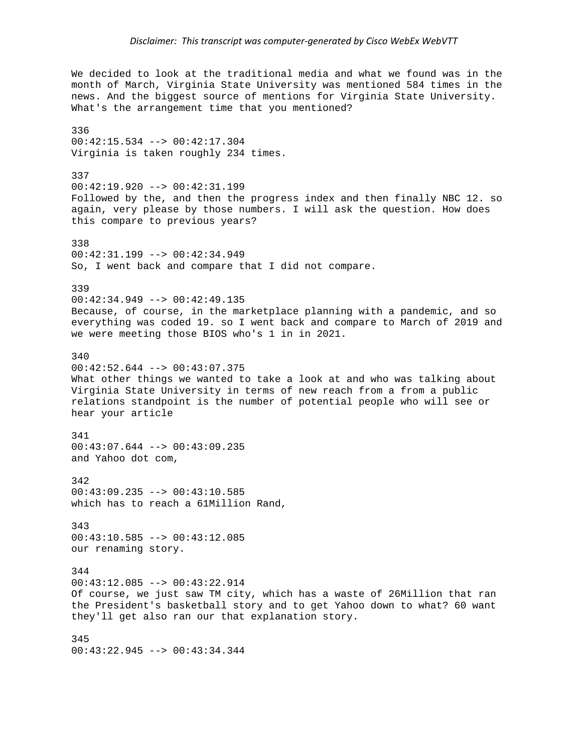We decided to look at the traditional media and what we found was in the month of March, Virginia State University was mentioned 584 times in the news. And the biggest source of mentions for Virginia State University. What's the arrangement time that you mentioned? 336 00:42:15.534 --> 00:42:17.304 Virginia is taken roughly 234 times. 337 00:42:19.920 --> 00:42:31.199 Followed by the, and then the progress index and then finally NBC 12. so again, very please by those numbers. I will ask the question. How does this compare to previous years? 338 00:42:31.199 --> 00:42:34.949 So, I went back and compare that I did not compare. 339 00:42:34.949 --> 00:42:49.135 Because, of course, in the marketplace planning with a pandemic, and so everything was coded 19. so I went back and compare to March of 2019 and we were meeting those BIOS who's 1 in in 2021. 340  $00:42:52.644$  -->  $00:43:07.375$ What other things we wanted to take a look at and who was talking about Virginia State University in terms of new reach from a from a public relations standpoint is the number of potential people who will see or hear your article 341 00:43:07.644 --> 00:43:09.235 and Yahoo dot com, 342 00:43:09.235 --> 00:43:10.585 which has to reach a 61Million Rand, 343 00:43:10.585 --> 00:43:12.085 our renaming story. 344 00:43:12.085 --> 00:43:22.914 Of course, we just saw TM city, which has a waste of 26Million that ran the President's basketball story and to get Yahoo down to what? 60 want they'll get also ran our that explanation story. 345

00:43:22.945 --> 00:43:34.344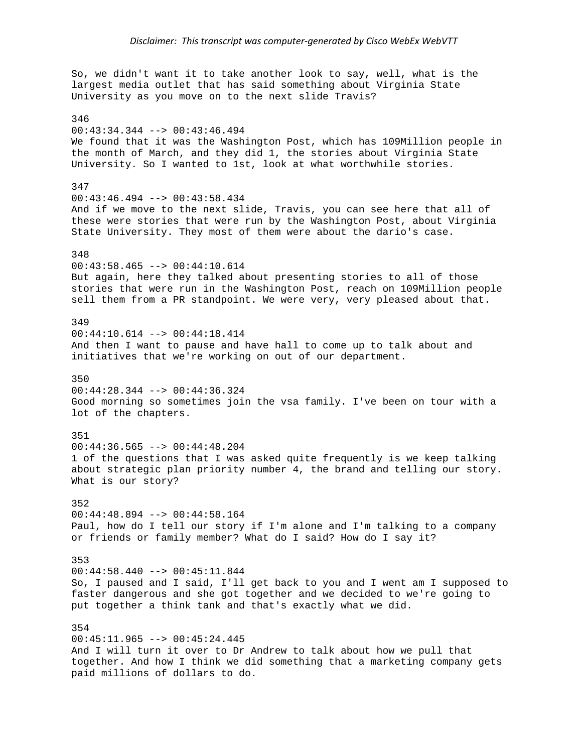So, we didn't want it to take another look to say, well, what is the largest media outlet that has said something about Virginia State University as you move on to the next slide Travis? 346 00:43:34.344 --> 00:43:46.494 We found that it was the Washington Post, which has 109Million people in the month of March, and they did 1, the stories about Virginia State University. So I wanted to 1st, look at what worthwhile stories. 347 00:43:46.494 --> 00:43:58.434 And if we move to the next slide, Travis, you can see here that all of these were stories that were run by the Washington Post, about Virginia State University. They most of them were about the dario's case. 348 00:43:58.465 --> 00:44:10.614 But again, here they talked about presenting stories to all of those stories that were run in the Washington Post, reach on 109Million people sell them from a PR standpoint. We were very, very pleased about that. 349 00:44:10.614 --> 00:44:18.414 And then I want to pause and have hall to come up to talk about and initiatives that we're working on out of our department. 350 00:44:28.344 --> 00:44:36.324 Good morning so sometimes join the vsa family. I've been on tour with a lot of the chapters. 351 00:44:36.565 --> 00:44:48.204 1 of the questions that I was asked quite frequently is we keep talking about strategic plan priority number 4, the brand and telling our story. What is our story? 352 00:44:48.894 --> 00:44:58.164 Paul, how do I tell our story if I'm alone and I'm talking to a company or friends or family member? What do I said? How do I say it? 353  $00:44:58.440$  -->  $00:45:11.844$ So, I paused and I said, I'll get back to you and I went am I supposed to faster dangerous and she got together and we decided to we're going to put together a think tank and that's exactly what we did. 354 00:45:11.965 --> 00:45:24.445 And I will turn it over to Dr Andrew to talk about how we pull that together. And how I think we did something that a marketing company gets paid millions of dollars to do.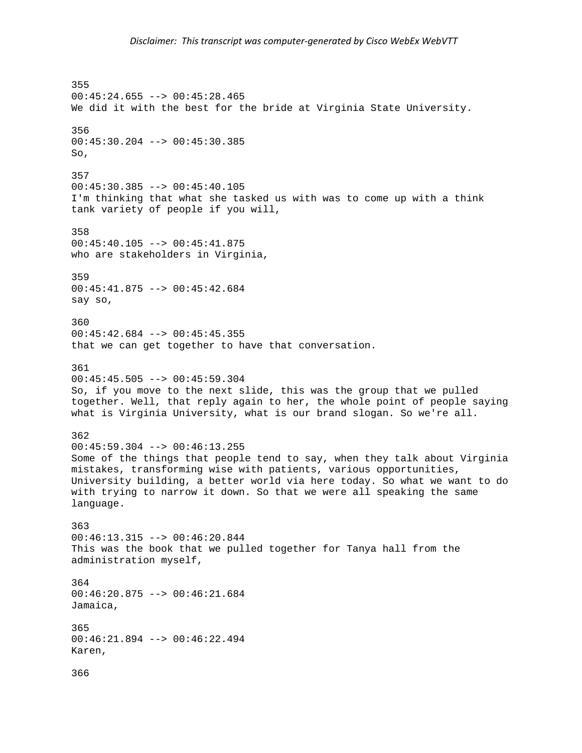355 00:45:24.655 --> 00:45:28.465 We did it with the best for the bride at Virginia State University. 356 00:45:30.204 --> 00:45:30.385 So, 357 00:45:30.385 --> 00:45:40.105 I'm thinking that what she tasked us with was to come up with a think tank variety of people if you will, 358 00:45:40.105 --> 00:45:41.875 who are stakeholders in Virginia, 359 00:45:41.875 --> 00:45:42.684 say so, 360 00:45:42.684 --> 00:45:45.355 that we can get together to have that conversation. 361  $00:45:45.505$  -->  $00:45:59.304$ So, if you move to the next slide, this was the group that we pulled together. Well, that reply again to her, the whole point of people saying what is Virginia University, what is our brand slogan. So we're all. 362  $00:45:59.304$  -->  $00:46:13.255$ Some of the things that people tend to say, when they talk about Virginia mistakes, transforming wise with patients, various opportunities, University building, a better world via here today. So what we want to do with trying to narrow it down. So that we were all speaking the same language. 363 00:46:13.315 --> 00:46:20.844 This was the book that we pulled together for Tanya hall from the administration myself, 364 00:46:20.875 --> 00:46:21.684 Jamaica, 365 00:46:21.894 --> 00:46:22.494 Karen, 366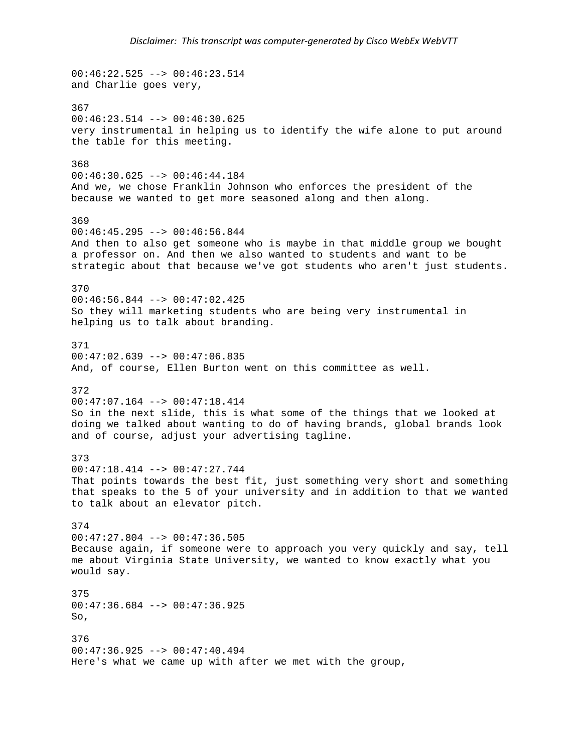$00:46:22.525$  -->  $00:46:23.514$ and Charlie goes very, 367 00:46:23.514 --> 00:46:30.625 very instrumental in helping us to identify the wife alone to put around the table for this meeting. 368 00:46:30.625 --> 00:46:44.184 And we, we chose Franklin Johnson who enforces the president of the because we wanted to get more seasoned along and then along. 369  $00:46:45.295$  -->  $00:46:56.844$ And then to also get someone who is maybe in that middle group we bought a professor on. And then we also wanted to students and want to be strategic about that because we've got students who aren't just students. 370 00:46:56.844 --> 00:47:02.425 So they will marketing students who are being very instrumental in helping us to talk about branding. 371  $00:47:02.639$  -->  $00:47:06.835$ And, of course, Ellen Burton went on this committee as well. 372 00:47:07.164 --> 00:47:18.414 So in the next slide, this is what some of the things that we looked at doing we talked about wanting to do of having brands, global brands look and of course, adjust your advertising tagline. 373 00:47:18.414 --> 00:47:27.744 That points towards the best fit, just something very short and something that speaks to the 5 of your university and in addition to that we wanted to talk about an elevator pitch. 374 00:47:27.804 --> 00:47:36.505 Because again, if someone were to approach you very quickly and say, tell me about Virginia State University, we wanted to know exactly what you would say. 375  $00:47:36.684$  -->  $00:47:36.925$ So, 376  $00:47:36.925$  -->  $00:47:40.494$ Here's what we came up with after we met with the group,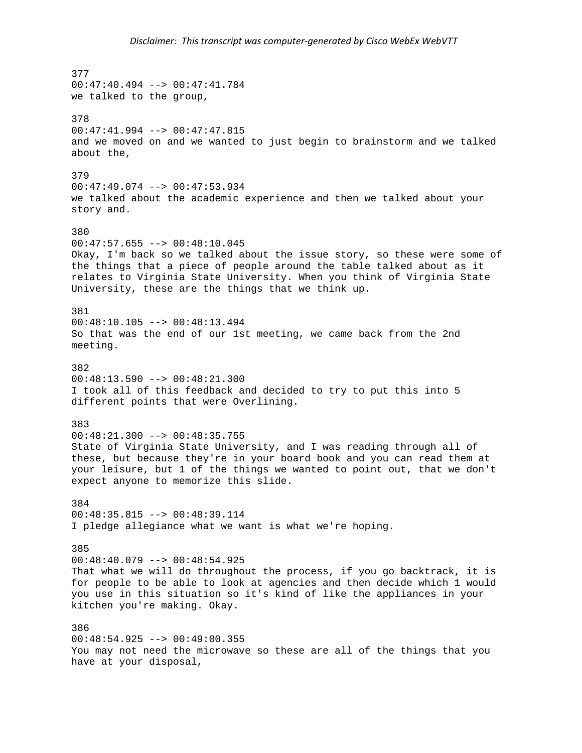377 00:47:40.494 --> 00:47:41.784 we talked to the group, 378 00:47:41.994 --> 00:47:47.815 and we moved on and we wanted to just begin to brainstorm and we talked about the, 379 00:47:49.074 --> 00:47:53.934 we talked about the academic experience and then we talked about your story and. 380  $00:47:57.655$  -->  $00:48:10.045$ Okay, I'm back so we talked about the issue story, so these were some of the things that a piece of people around the table talked about as it relates to Virginia State University. When you think of Virginia State University, these are the things that we think up. 381 00:48:10.105 --> 00:48:13.494 So that was the end of our 1st meeting, we came back from the 2nd meeting. 382 00:48:13.590 --> 00:48:21.300 I took all of this feedback and decided to try to put this into 5 different points that were Overlining. 383 00:48:21.300 --> 00:48:35.755 State of Virginia State University, and I was reading through all of these, but because they're in your board book and you can read them at your leisure, but 1 of the things we wanted to point out, that we don't expect anyone to memorize this slide. 384  $00:48:35.815$  -->  $00:48:39.114$ I pledge allegiance what we want is what we're hoping. 385 00:48:40.079 --> 00:48:54.925 That what we will do throughout the process, if you go backtrack, it is for people to be able to look at agencies and then decide which 1 would you use in this situation so it's kind of like the appliances in your kitchen you're making. Okay. 386 00:48:54.925 --> 00:49:00.355 You may not need the microwave so these are all of the things that you have at your disposal,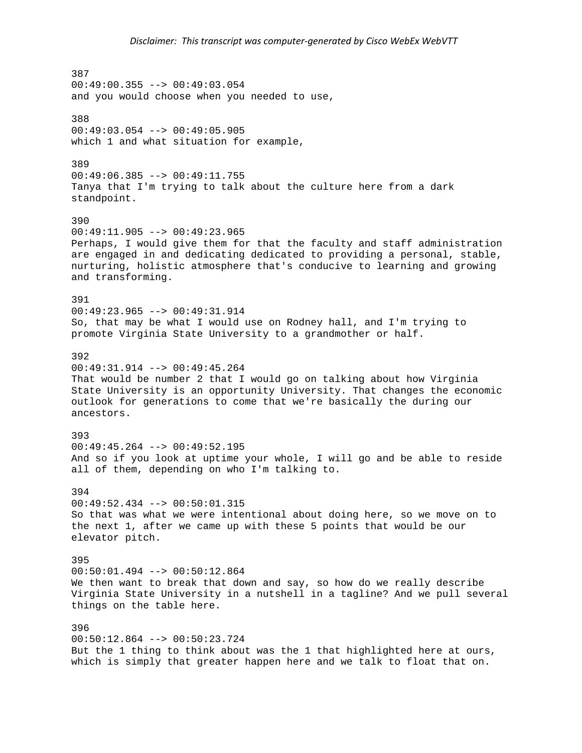387  $00:49:00.355$  -->  $00:49:03.054$ and you would choose when you needed to use, 388 00:49:03.054 --> 00:49:05.905 which 1 and what situation for example, 389 00:49:06.385 --> 00:49:11.755 Tanya that I'm trying to talk about the culture here from a dark standpoint. 390  $00:49:11.905$  -->  $00:49:23.965$ Perhaps, I would give them for that the faculty and staff administration are engaged in and dedicating dedicated to providing a personal, stable, nurturing, holistic atmosphere that's conducive to learning and growing and transforming. 391 00:49:23.965 --> 00:49:31.914 So, that may be what I would use on Rodney hall, and I'm trying to promote Virginia State University to a grandmother or half. 392 00:49:31.914 --> 00:49:45.264 That would be number 2 that I would go on talking about how Virginia State University is an opportunity University. That changes the economic outlook for generations to come that we're basically the during our ancestors. 393  $00:49:45.264$  -->  $00:49:52.195$ And so if you look at uptime your whole, I will go and be able to reside all of them, depending on who I'm talking to. 394 00:49:52.434 --> 00:50:01.315 So that was what we were intentional about doing here, so we move on to the next 1, after we came up with these 5 points that would be our elevator pitch. 395  $00:50:01.494$  -->  $00:50:12.864$ We then want to break that down and say, so how do we really describe Virginia State University in a nutshell in a tagline? And we pull several things on the table here. 396 00:50:12.864 --> 00:50:23.724 But the 1 thing to think about was the 1 that highlighted here at ours, which is simply that greater happen here and we talk to float that on.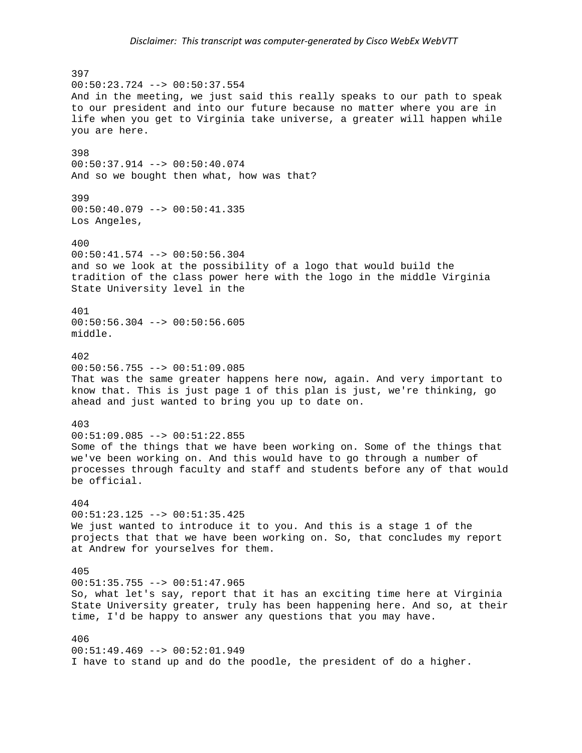397  $00:50:23.724$  -->  $00:50:37.554$ And in the meeting, we just said this really speaks to our path to speak to our president and into our future because no matter where you are in life when you get to Virginia take universe, a greater will happen while you are here. 398 00:50:37.914 --> 00:50:40.074 And so we bought then what, how was that? 399 00:50:40.079 --> 00:50:41.335 Los Angeles, 400 00:50:41.574 --> 00:50:56.304 and so we look at the possibility of a logo that would build the tradition of the class power here with the logo in the middle Virginia State University level in the 401 00:50:56.304 --> 00:50:56.605 middle. 402  $00:50:56.755 --> 00:51:09.085$ That was the same greater happens here now, again. And very important to know that. This is just page 1 of this plan is just, we're thinking, go ahead and just wanted to bring you up to date on. 403 00:51:09.085 --> 00:51:22.855 Some of the things that we have been working on. Some of the things that we've been working on. And this would have to go through a number of processes through faculty and staff and students before any of that would be official. 404  $00:51:23.125$  -->  $00:51:35.425$ We just wanted to introduce it to you. And this is a stage 1 of the projects that that we have been working on. So, that concludes my report at Andrew for yourselves for them. 405 00:51:35.755 --> 00:51:47.965 So, what let's say, report that it has an exciting time here at Virginia State University greater, truly has been happening here. And so, at their time, I'd be happy to answer any questions that you may have. 406  $00:51:49.469$  -->  $00:52:01.949$ I have to stand up and do the poodle, the president of do a higher.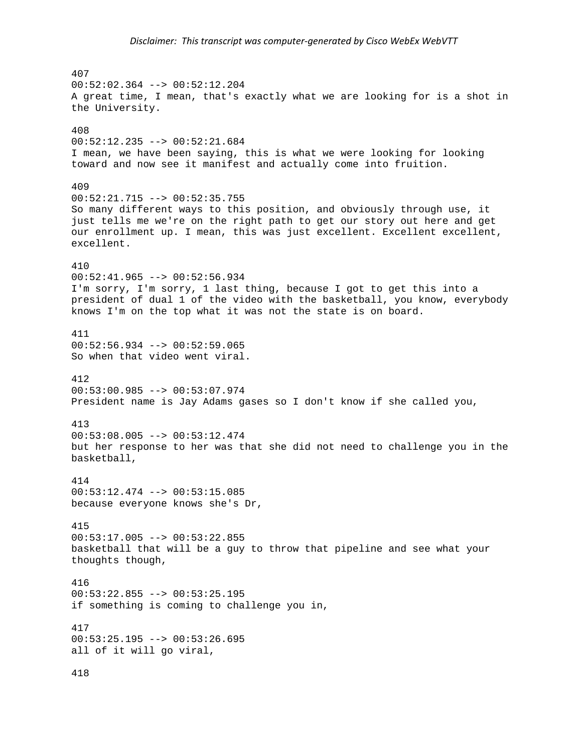407  $00:52:02.364$  -->  $00:52:12.204$ A great time, I mean, that's exactly what we are looking for is a shot in the University. 408 00:52:12.235 --> 00:52:21.684 I mean, we have been saying, this is what we were looking for looking toward and now see it manifest and actually come into fruition. 409 00:52:21.715 --> 00:52:35.755 So many different ways to this position, and obviously through use, it just tells me we're on the right path to get our story out here and get our enrollment up. I mean, this was just excellent. Excellent excellent, excellent. 410  $00:52:41.965$  -->  $00:52:56.934$ I'm sorry, I'm sorry, 1 last thing, because I got to get this into a president of dual 1 of the video with the basketball, you know, everybody knows I'm on the top what it was not the state is on board. 411 00:52:56.934 --> 00:52:59.065 So when that video went viral. 412 00:53:00.985 --> 00:53:07.974 President name is Jay Adams gases so I don't know if she called you, 413  $00:53:08.005$  -->  $00:53:12.474$ but her response to her was that she did not need to challenge you in the basketball, 414 00:53:12.474 --> 00:53:15.085 because everyone knows she's Dr, 415 00:53:17.005 --> 00:53:22.855 basketball that will be a guy to throw that pipeline and see what your thoughts though, 416  $00:53:22.855 --> 00:53:25.195$ if something is coming to challenge you in, 417 00:53:25.195 --> 00:53:26.695 all of it will go viral, 418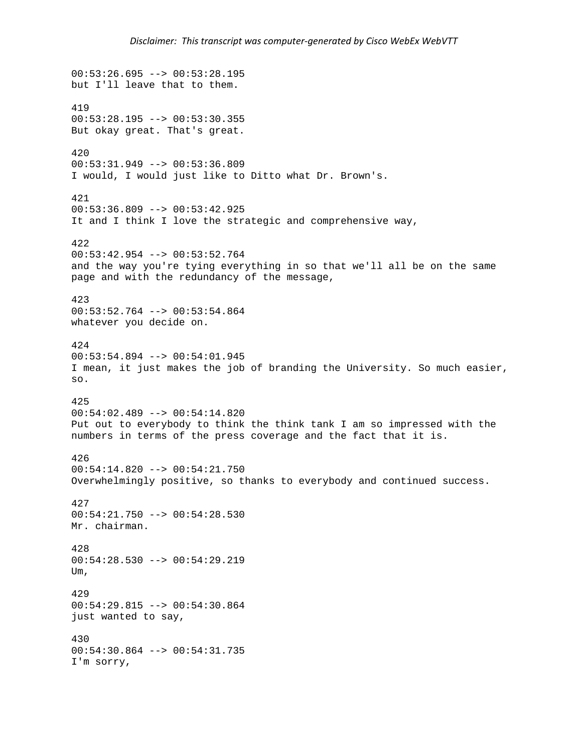```
00:53:26.695 --> 00:53:28.195but I'll leave that to them. 
419 
00:53:28.195 --> 00:53:30.355 
But okay great. That's great. 
420 
00:53:31.949 --> 00:53:36.809 
I would, I would just like to Ditto what Dr. Brown's. 
421 
00:53:36.809 --> 00:53:42.925 
It and I think I love the strategic and comprehensive way, 
422 
00:53:42.954 --> 00:53:52.764 
and the way you're tying everything in so that we'll all be on the same 
page and with the redundancy of the message, 
423 
00:53:52.764 --> 00:53:54.864whatever you decide on. 
424 
00:53:54.894 --> 00:54:01.945 
I mean, it just makes the job of branding the University. So much easier, 
so. 
425 
00:54:02.489 --> 00:54:14.820 
Put out to everybody to think the think tank I am so impressed with the 
numbers in terms of the press coverage and the fact that it is. 
426 
00:54:14.820 --> 00:54:21.750 
Overwhelmingly positive, so thanks to everybody and continued success. 
427 
00:54:21.750 --> 00:54:28.530Mr. chairman. 
428 
00:54:28.530 --> 00:54:29.219 
Um, 
429 
00:54:29.815 --> 00:54:30.864 
just wanted to say, 
430 
00:54:30.864 --> 00:54:31.735 
I'm sorry,
```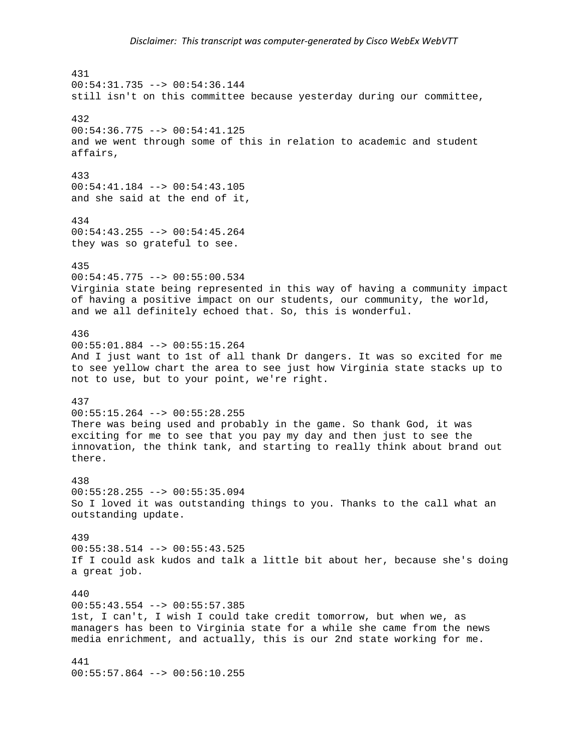431  $00:54:31.735$  -->  $00:54:36.144$ still isn't on this committee because yesterday during our committee, 432 00:54:36.775 --> 00:54:41.125 and we went through some of this in relation to academic and student affairs, 433 00:54:41.184 --> 00:54:43.105 and she said at the end of it, 434 00:54:43.255 --> 00:54:45.264 they was so grateful to see. 435 00:54:45.775 --> 00:55:00.534 Virginia state being represented in this way of having a community impact of having a positive impact on our students, our community, the world, and we all definitely echoed that. So, this is wonderful. 436 00:55:01.884 --> 00:55:15.264 And I just want to 1st of all thank Dr dangers. It was so excited for me to see yellow chart the area to see just how Virginia state stacks up to not to use, but to your point, we're right. 437 00:55:15.264 --> 00:55:28.255 There was being used and probably in the game. So thank God, it was exciting for me to see that you pay my day and then just to see the innovation, the think tank, and starting to really think about brand out there. 438 00:55:28.255 --> 00:55:35.094 So I loved it was outstanding things to you. Thanks to the call what an outstanding update. 439 00:55:38.514 --> 00:55:43.525 If I could ask kudos and talk a little bit about her, because she's doing a great job. 440  $00:55:43.554$  -->  $00:55:57.385$ 1st, I can't, I wish I could take credit tomorrow, but when we, as managers has been to Virginia state for a while she came from the news media enrichment, and actually, this is our 2nd state working for me. 441 00:55:57.864 --> 00:56:10.255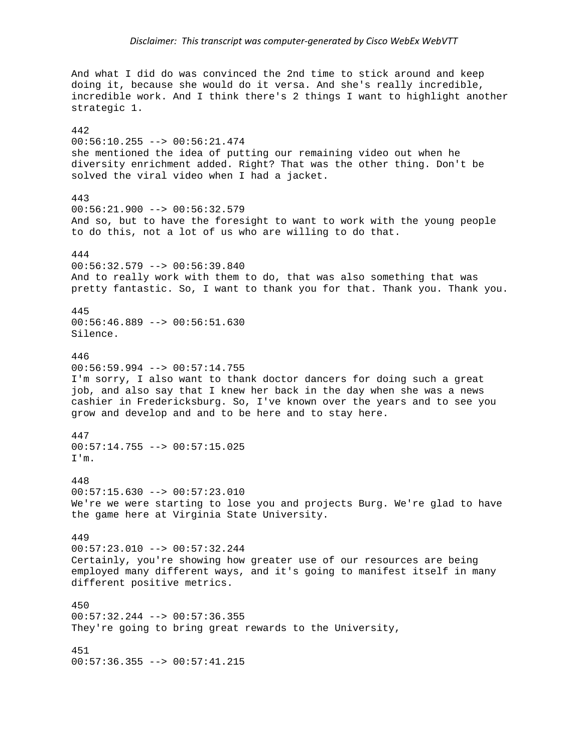And what I did do was convinced the 2nd time to stick around and keep doing it, because she would do it versa. And she's really incredible, incredible work. And I think there's 2 things I want to highlight another strategic 1. 442 00:56:10.255 --> 00:56:21.474 she mentioned the idea of putting our remaining video out when he diversity enrichment added. Right? That was the other thing. Don't be solved the viral video when I had a jacket. 443  $00:56:21.900$  -->  $00:56:32.579$ And so, but to have the foresight to want to work with the young people to do this, not a lot of us who are willing to do that. 444 00:56:32.579 --> 00:56:39.840 And to really work with them to do, that was also something that was pretty fantastic. So, I want to thank you for that. Thank you. Thank you. 445 00:56:46.889 --> 00:56:51.630 Silence. 446  $00:56:59.994$  -->  $00:57:14.755$ I'm sorry, I also want to thank doctor dancers for doing such a great job, and also say that I knew her back in the day when she was a news cashier in Fredericksburg. So, I've known over the years and to see you grow and develop and and to be here and to stay here. 447  $00:57:14.755$  -->  $00:57:15.025$ I'm. 448 00:57:15.630 --> 00:57:23.010 We're we were starting to lose you and projects Burg. We're glad to have the game here at Virginia State University. 449 00:57:23.010 --> 00:57:32.244 Certainly, you're showing how greater use of our resources are being employed many different ways, and it's going to manifest itself in many different positive metrics. 450 00:57:32.244 --> 00:57:36.355 They're going to bring great rewards to the University, 451 00:57:36.355 --> 00:57:41.215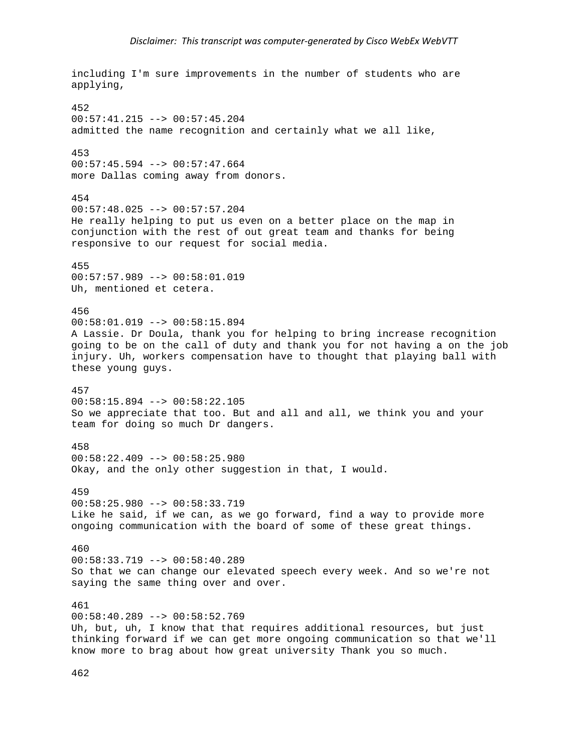```
including I'm sure improvements in the number of students who are 
applying, 
452 
00:57:41.215 --> 00:57:45.204 
admitted the name recognition and certainly what we all like, 
453 
00:57:45.594 --> 00:57:47.664more Dallas coming away from donors. 
454 
00:57:48.025 --> 00:57:57.204He really helping to put us even on a better place on the map in 
conjunction with the rest of out great team and thanks for being 
responsive to our request for social media. 
455 
00:57:57.989 --> 00:58:01.019 
Uh, mentioned et cetera. 
456 
00:58:01.019 --> 00:58:15.894 
A Lassie. Dr Doula, thank you for helping to bring increase recognition 
going to be on the call of duty and thank you for not having a on the job 
injury. Uh, workers compensation have to thought that playing ball with 
these young guys. 
457 
00:58:15.894 --> 00:58:22.105 
So we appreciate that too. But and all and all, we think you and your 
team for doing so much Dr dangers. 
458 
00:58:22.409 --> 00:58:25.980 
Okay, and the only other suggestion in that, I would. 
459 
00:58:25.980 --> 00:58:33.719 
Like he said, if we can, as we go forward, find a way to provide more 
ongoing communication with the board of some of these great things. 
460 
00:58:33.719 --> 00:58:40.289 
So that we can change our elevated speech every week. And so we're not 
saying the same thing over and over. 
461 
00:58:40.289 --> 00:58:52.769 
Uh, but, uh, I know that that requires additional resources, but just 
thinking forward if we can get more ongoing communication so that we'll 
know more to brag about how great university Thank you so much.
```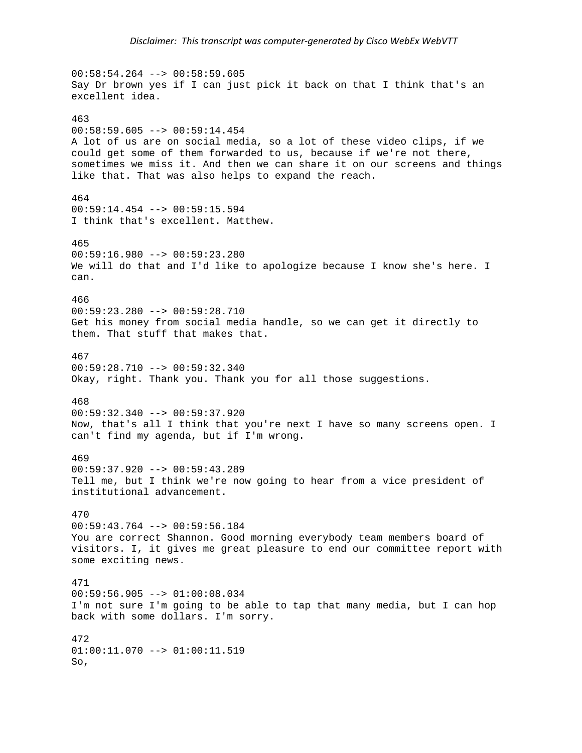$00:58:54.264$  -->  $00:58:59.605$ Say Dr brown yes if I can just pick it back on that I think that's an excellent idea. 463  $00:58:59.605$  -->  $00:59:14.454$ A lot of us are on social media, so a lot of these video clips, if we could get some of them forwarded to us, because if we're not there, sometimes we miss it. And then we can share it on our screens and things like that. That was also helps to expand the reach. 464 00:59:14.454 --> 00:59:15.594 I think that's excellent. Matthew. 465 00:59:16.980 --> 00:59:23.280 We will do that and I'd like to apologize because I know she's here. I can. 466  $00:59:23.280$  -->  $00:59:28.710$ Get his money from social media handle, so we can get it directly to them. That stuff that makes that. 467  $00:59:28.710$  -->  $00:59:32.340$ Okay, right. Thank you. Thank you for all those suggestions. 468 00:59:32.340 --> 00:59:37.920 Now, that's all I think that you're next I have so many screens open. I can't find my agenda, but if I'm wrong. 469 00:59:37.920 --> 00:59:43.289 Tell me, but I think we're now going to hear from a vice president of institutional advancement. 470 00:59:43.764 --> 00:59:56.184 You are correct Shannon. Good morning everybody team members board of visitors. I, it gives me great pleasure to end our committee report with some exciting news. 471 00:59:56.905 --> 01:00:08.034 I'm not sure I'm going to be able to tap that many media, but I can hop back with some dollars. I'm sorry. 472  $01:00:11.070$  -->  $01:00:11.519$ So,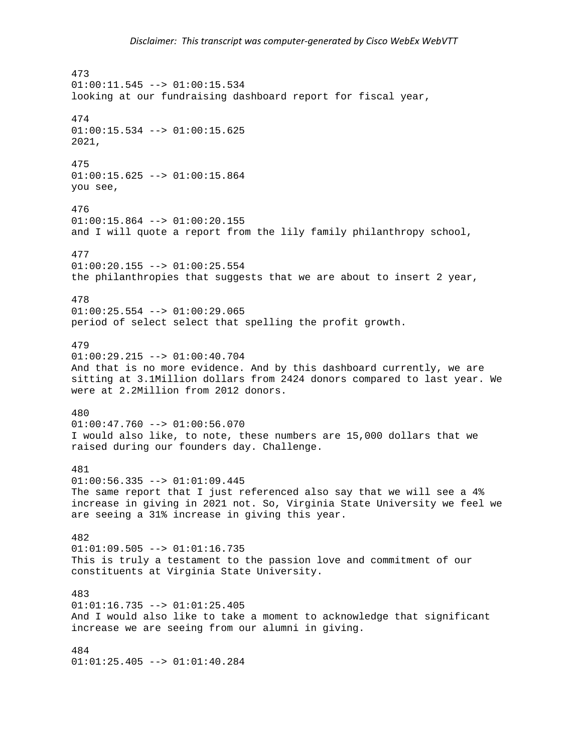473  $01:00:11.545$  -->  $01:00:15.534$ looking at our fundraising dashboard report for fiscal year, 474  $01:00:15.534$  -->  $01:00:15.625$ 2021, 475 01:00:15.625 --> 01:00:15.864 you see, 476  $01:00:15.864$  -->  $01:00:20.155$ and I will quote a report from the lily family philanthropy school, 477 01:00:20.155 --> 01:00:25.554 the philanthropies that suggests that we are about to insert 2 year, 478  $01:00:25.554$  -->  $01:00:29.065$ period of select select that spelling the profit growth. 479 01:00:29.215 --> 01:00:40.704 And that is no more evidence. And by this dashboard currently, we are sitting at 3.1Million dollars from 2424 donors compared to last year. We were at 2.2Million from 2012 donors. 480 01:00:47.760 --> 01:00:56.070 I would also like, to note, these numbers are 15,000 dollars that we raised during our founders day. Challenge. 481 01:00:56.335 --> 01:01:09.445 The same report that I just referenced also say that we will see a 4% increase in giving in 2021 not. So, Virginia State University we feel we are seeing a 31% increase in giving this year. 482  $01:01:09.505$  -->  $01:01:16.735$ This is truly a testament to the passion love and commitment of our constituents at Virginia State University. 483  $01:01:16.735$  -->  $01:01:25.405$ And I would also like to take a moment to acknowledge that significant increase we are seeing from our alumni in giving. 484 01:01:25.405 --> 01:01:40.284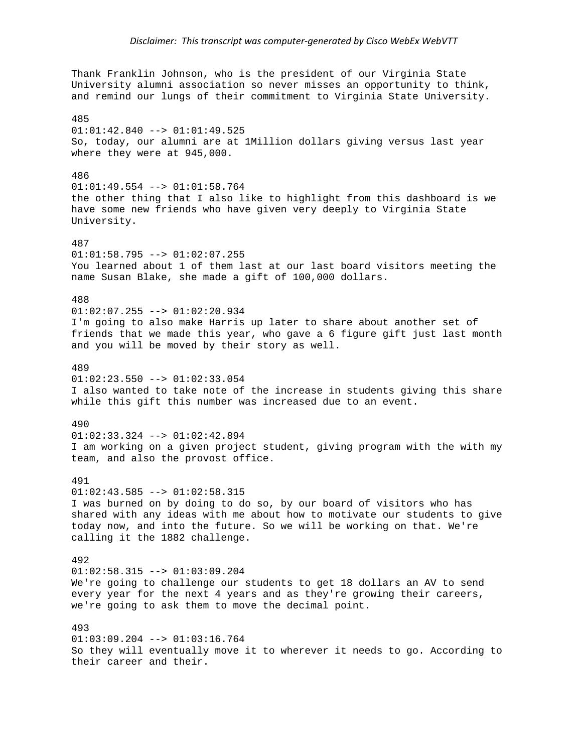Thank Franklin Johnson, who is the president of our Virginia State University alumni association so never misses an opportunity to think, and remind our lungs of their commitment to Virginia State University. 485  $01:01:42.840$  -->  $01:01:49.525$ So, today, our alumni are at 1Million dollars giving versus last year where they were at 945,000. 486 01:01:49.554 --> 01:01:58.764 the other thing that I also like to highlight from this dashboard is we have some new friends who have given very deeply to Virginia State University. 487 01:01:58.795 --> 01:02:07.255 You learned about 1 of them last at our last board visitors meeting the name Susan Blake, she made a gift of 100,000 dollars. 488  $01:02:07.255$  -->  $01:02:20.934$ I'm going to also make Harris up later to share about another set of friends that we made this year, who gave a 6 figure gift just last month and you will be moved by their story as well. 489  $01:02:23.550$  -->  $01:02:33.054$ I also wanted to take note of the increase in students giving this share while this gift this number was increased due to an event. 490 01:02:33.324 --> 01:02:42.894 I am working on a given project student, giving program with the with my team, and also the provost office. 491  $01:02:43.585$  -->  $01:02:58.315$ I was burned on by doing to do so, by our board of visitors who has shared with any ideas with me about how to motivate our students to give today now, and into the future. So we will be working on that. We're calling it the 1882 challenge. 492  $01:02:58.315$  -->  $01:03:09.204$ We're going to challenge our students to get 18 dollars an AV to send every year for the next 4 years and as they're growing their careers, we're going to ask them to move the decimal point. 493 01:03:09.204 --> 01:03:16.764 So they will eventually move it to wherever it needs to go. According to their career and their.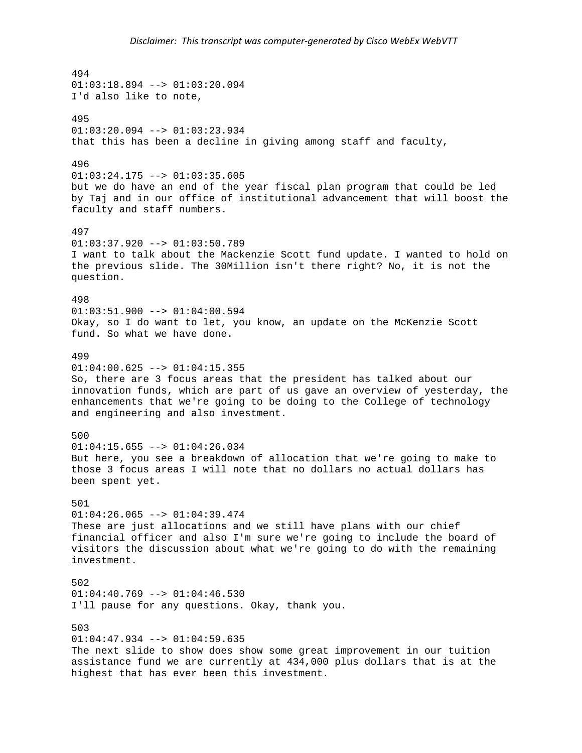494  $01:03:18.894$  -->  $01:03:20.094$ I'd also like to note, 495  $01:03:20.094$  -->  $01:03:23.934$ that this has been a decline in giving among staff and faculty, 496  $01:03:24.175$  -->  $01:03:35.605$ but we do have an end of the year fiscal plan program that could be led by Taj and in our office of institutional advancement that will boost the faculty and staff numbers. 497  $01:03:37.920$  -->  $01:03:50.789$ I want to talk about the Mackenzie Scott fund update. I wanted to hold on the previous slide. The 30Million isn't there right? No, it is not the question. 498  $01:03:51.900$  -->  $01:04:00.594$ Okay, so I do want to let, you know, an update on the McKenzie Scott fund. So what we have done. 499  $01:04:00.625$  -->  $01:04:15.355$ So, there are 3 focus areas that the president has talked about our innovation funds, which are part of us gave an overview of yesterday, the enhancements that we're going to be doing to the College of technology and engineering and also investment. 500  $01:04:15.655$  -->  $01:04:26.034$ But here, you see a breakdown of allocation that we're going to make to those 3 focus areas I will note that no dollars no actual dollars has been spent yet. 501  $01:04:26.065$  -->  $01:04:39.474$ These are just allocations and we still have plans with our chief financial officer and also I'm sure we're going to include the board of visitors the discussion about what we're going to do with the remaining investment. 502  $01:04:40.769$  -->  $01:04:46.530$ I'll pause for any questions. Okay, thank you. 503  $01:04:47.934$  -->  $01:04:59.635$ The next slide to show does show some great improvement in our tuition assistance fund we are currently at 434,000 plus dollars that is at the highest that has ever been this investment.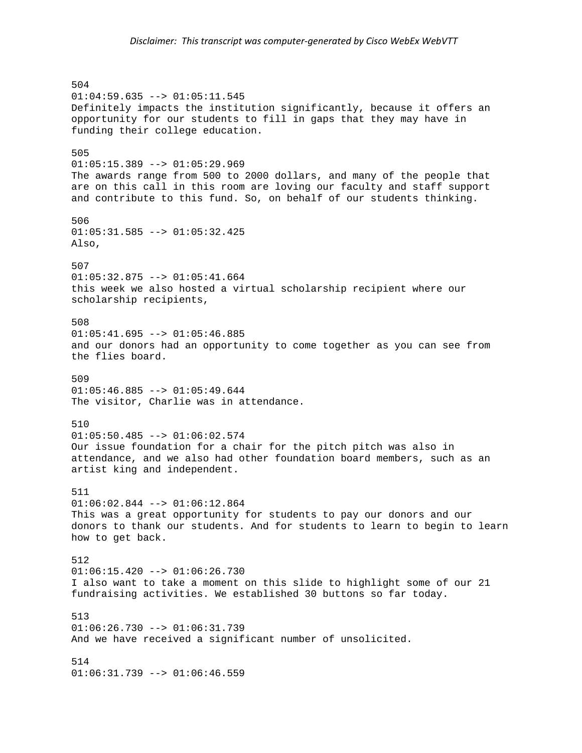504 01:04:59.635 --> 01:05:11.545 Definitely impacts the institution significantly, because it offers an opportunity for our students to fill in gaps that they may have in funding their college education. 505  $01:05:15.389$  -->  $01:05:29.969$ The awards range from 500 to 2000 dollars, and many of the people that are on this call in this room are loving our faculty and staff support and contribute to this fund. So, on behalf of our students thinking. 506 01:05:31.585 --> 01:05:32.425 Also, 507  $01:05:32.875$  -->  $01:05:41.664$ this week we also hosted a virtual scholarship recipient where our scholarship recipients, 508  $01:05:41.695$  -->  $01:05:46.885$ and our donors had an opportunity to come together as you can see from the flies board. 509 01:05:46.885 --> 01:05:49.644 The visitor, Charlie was in attendance. 510  $01:05:50.485$  -->  $01:06:02.574$ Our issue foundation for a chair for the pitch pitch was also in attendance, and we also had other foundation board members, such as an artist king and independent. 511  $01:06:02.844$  -->  $01:06:12.864$ This was a great opportunity for students to pay our donors and our donors to thank our students. And for students to learn to begin to learn how to get back. 512  $01:06:15.420$  -->  $01:06:26.730$ I also want to take a moment on this slide to highlight some of our 21 fundraising activities. We established 30 buttons so far today. 513  $01:06:26.730$  -->  $01:06:31.739$ And we have received a significant number of unsolicited. 514 01:06:31.739 --> 01:06:46.559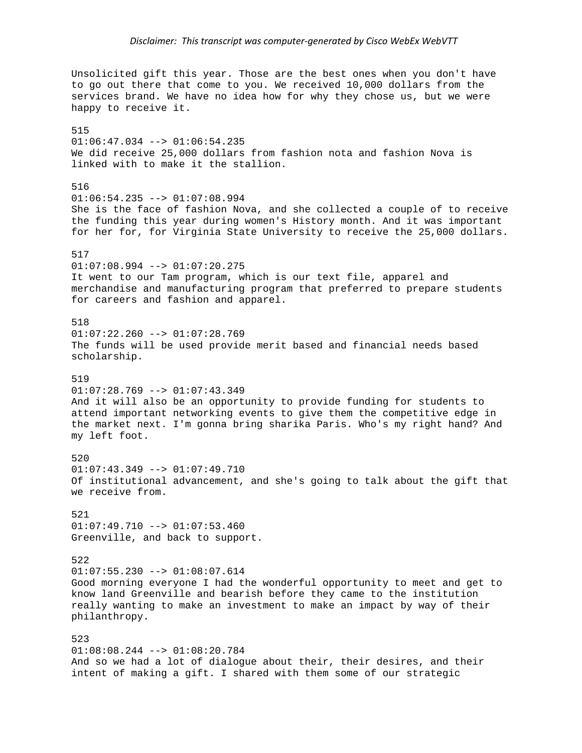Unsolicited gift this year. Those are the best ones when you don't have to go out there that come to you. We received 10,000 dollars from the services brand. We have no idea how for why they chose us, but we were happy to receive it. 515  $01:06:47.034$  -->  $01:06:54.235$ We did receive 25,000 dollars from fashion nota and fashion Nova is linked with to make it the stallion. 516  $01:06:54.235$  -->  $01:07:08.994$ She is the face of fashion Nova, and she collected a couple of to receive the funding this year during women's History month. And it was important for her for, for Virginia State University to receive the 25,000 dollars. 517 01:07:08.994 --> 01:07:20.275 It went to our Tam program, which is our text file, apparel and merchandise and manufacturing program that preferred to prepare students for careers and fashion and apparel. 518  $01:07:22.260$  -->  $01:07:28.769$ The funds will be used provide merit based and financial needs based scholarship. 519 01:07:28.769 --> 01:07:43.349 And it will also be an opportunity to provide funding for students to attend important networking events to give them the competitive edge in the market next. I'm gonna bring sharika Paris. Who's my right hand? And my left foot. 520  $01:07:43.349$  -->  $01:07:49.710$ Of institutional advancement, and she's going to talk about the gift that we receive from. 521  $01:07:49.710$  -->  $01:07:53.460$ Greenville, and back to support. 522  $01:07:55.230$  -->  $01:08:07.614$ Good morning everyone I had the wonderful opportunity to meet and get to know land Greenville and bearish before they came to the institution really wanting to make an investment to make an impact by way of their philanthropy. 523 01:08:08.244 --> 01:08:20.784 And so we had a lot of dialogue about their, their desires, and their intent of making a gift. I shared with them some of our strategic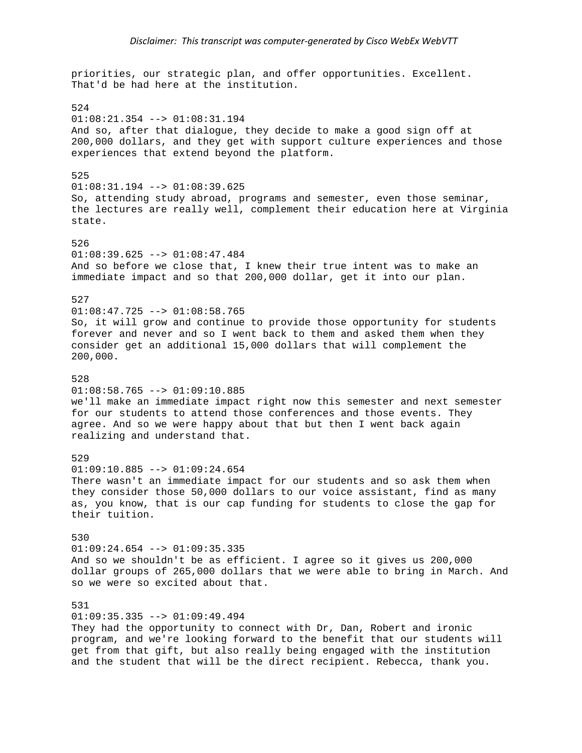priorities, our strategic plan, and offer opportunities. Excellent. That'd be had here at the institution. 524 01:08:21.354 --> 01:08:31.194 And so, after that dialogue, they decide to make a good sign off at 200,000 dollars, and they get with support culture experiences and those experiences that extend beyond the platform. 525 01:08:31.194 --> 01:08:39.625 So, attending study abroad, programs and semester, even those seminar, the lectures are really well, complement their education here at Virginia state. 526 01:08:39.625 --> 01:08:47.484 And so before we close that, I knew their true intent was to make an immediate impact and so that 200,000 dollar, get it into our plan. 527  $01:08:47.725$  -->  $01:08:58.765$ So, it will grow and continue to provide those opportunity for students forever and never and so I went back to them and asked them when they consider get an additional 15,000 dollars that will complement the 200,000. 528 01:08:58.765 --> 01:09:10.885 we'll make an immediate impact right now this semester and next semester for our students to attend those conferences and those events. They agree. And so we were happy about that but then I went back again realizing and understand that. 529  $01:09:10.885$  -->  $01:09:24.654$ There wasn't an immediate impact for our students and so ask them when they consider those 50,000 dollars to our voice assistant, find as many as, you know, that is our cap funding for students to close the gap for their tuition. 530  $01:09:24.654$  -->  $01:09:35.335$ And so we shouldn't be as efficient. I agree so it gives us 200,000 dollar groups of 265,000 dollars that we were able to bring in March. And so we were so excited about that. 531  $01:09:35.335$  -->  $01:09:49.494$ They had the opportunity to connect with Dr, Dan, Robert and ironic program, and we're looking forward to the benefit that our students will get from that gift, but also really being engaged with the institution

and the student that will be the direct recipient. Rebecca, thank you.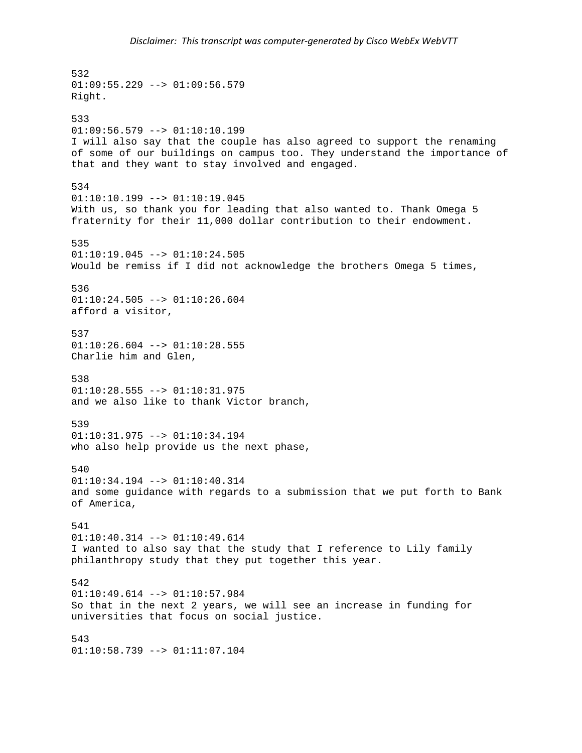532  $01:09:55.229$  -->  $01:09:56.579$ Right. 533  $01:09:56.579$  -->  $01:10:10.199$ I will also say that the couple has also agreed to support the renaming of some of our buildings on campus too. They understand the importance of that and they want to stay involved and engaged. 534  $01:10:10.199$  -->  $01:10:19.045$ With us, so thank you for leading that also wanted to. Thank Omega 5 fraternity for their 11,000 dollar contribution to their endowment. 535 01:10:19.045 --> 01:10:24.505 Would be remiss if I did not acknowledge the brothers Omega 5 times, 536  $01:10:24.505$  -->  $01:10:26.604$ afford a visitor, 537  $01:10:26.604$  -->  $01:10:28.555$ Charlie him and Glen, 538  $01:10:28.555$  -->  $01:10:31.975$ and we also like to thank Victor branch, 539 01:10:31.975 --> 01:10:34.194 who also help provide us the next phase, 540 01:10:34.194 --> 01:10:40.314 and some guidance with regards to a submission that we put forth to Bank of America, 541 01:10:40.314 --> 01:10:49.614 I wanted to also say that the study that I reference to Lily family philanthropy study that they put together this year. 542 01:10:49.614 --> 01:10:57.984 So that in the next 2 years, we will see an increase in funding for universities that focus on social justice. 543  $01:10:58.739$  -->  $01:11:07.104$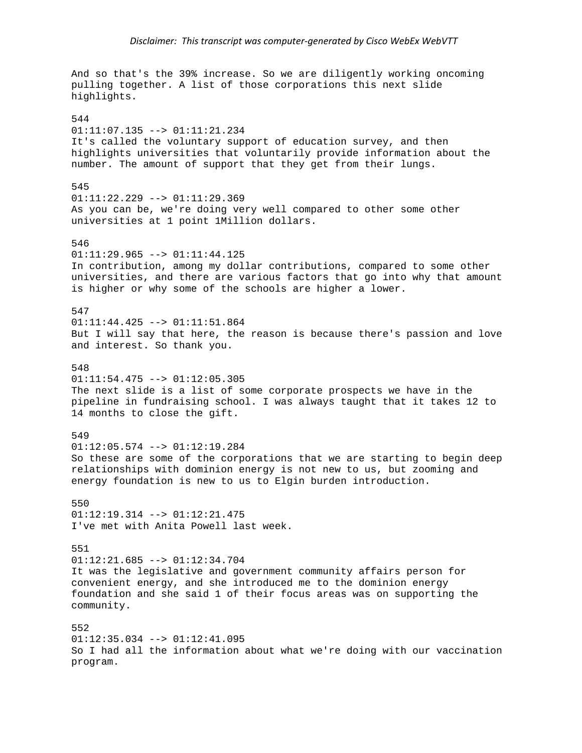And so that's the 39% increase. So we are diligently working oncoming pulling together. A list of those corporations this next slide highlights. 544 01:11:07.135 --> 01:11:21.234 It's called the voluntary support of education survey, and then highlights universities that voluntarily provide information about the number. The amount of support that they get from their lungs. 545 01:11:22.229 --> 01:11:29.369 As you can be, we're doing very well compared to other some other universities at 1 point 1Million dollars. 546 01:11:29.965 --> 01:11:44.125 In contribution, among my dollar contributions, compared to some other universities, and there are various factors that go into why that amount is higher or why some of the schools are higher a lower. 547 01:11:44.425 --> 01:11:51.864 But I will say that here, the reason is because there's passion and love and interest. So thank you. 548  $01:11:54.475$   $\leftarrow$   $01:12:05.305$ The next slide is a list of some corporate prospects we have in the pipeline in fundraising school. I was always taught that it takes 12 to 14 months to close the gift. 549  $01:12:05.574$  -->  $01:12:19.284$ So these are some of the corporations that we are starting to begin deep relationships with dominion energy is not new to us, but zooming and energy foundation is new to us to Elgin burden introduction. 550  $01:12:19.314$  -->  $01:12:21.475$ I've met with Anita Powell last week. 551 01:12:21.685 --> 01:12:34.704 It was the legislative and government community affairs person for convenient energy, and she introduced me to the dominion energy foundation and she said 1 of their focus areas was on supporting the community. 552 01:12:35.034 --> 01:12:41.095 So I had all the information about what we're doing with our vaccination program.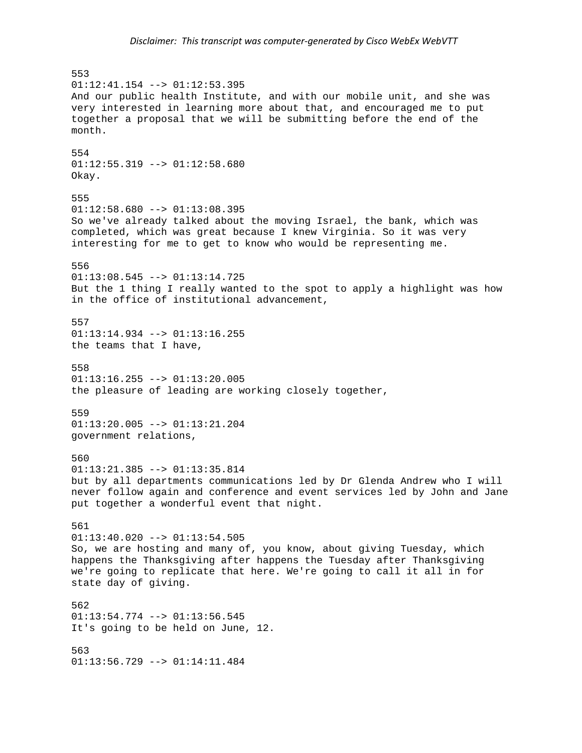553  $01:12:41.154$  -->  $01:12:53.395$ And our public health Institute, and with our mobile unit, and she was very interested in learning more about that, and encouraged me to put together a proposal that we will be submitting before the end of the month. 554  $01:12:55.319$  -->  $01:12:58.680$ Okay. 555  $01:12:58.680$  -->  $01:13:08.395$ So we've already talked about the moving Israel, the bank, which was completed, which was great because I knew Virginia. So it was very interesting for me to get to know who would be representing me. 556 01:13:08.545 --> 01:13:14.725 But the 1 thing I really wanted to the spot to apply a highlight was how in the office of institutional advancement, 557 01:13:14.934 --> 01:13:16.255 the teams that I have, 558  $01:13:16.255$  -->  $01:13:20.005$ the pleasure of leading are working closely together, 559 01:13:20.005 --> 01:13:21.204 government relations, 560 01:13:21.385 --> 01:13:35.814 but by all departments communications led by Dr Glenda Andrew who I will never follow again and conference and event services led by John and Jane put together a wonderful event that night. 561  $01:13:40.020$  -->  $01:13:54.505$ So, we are hosting and many of, you know, about giving Tuesday, which happens the Thanksgiving after happens the Tuesday after Thanksgiving we're going to replicate that here. We're going to call it all in for state day of giving. 562 01:13:54.774 --> 01:13:56.545 It's going to be held on June, 12. 563 01:13:56.729 --> 01:14:11.484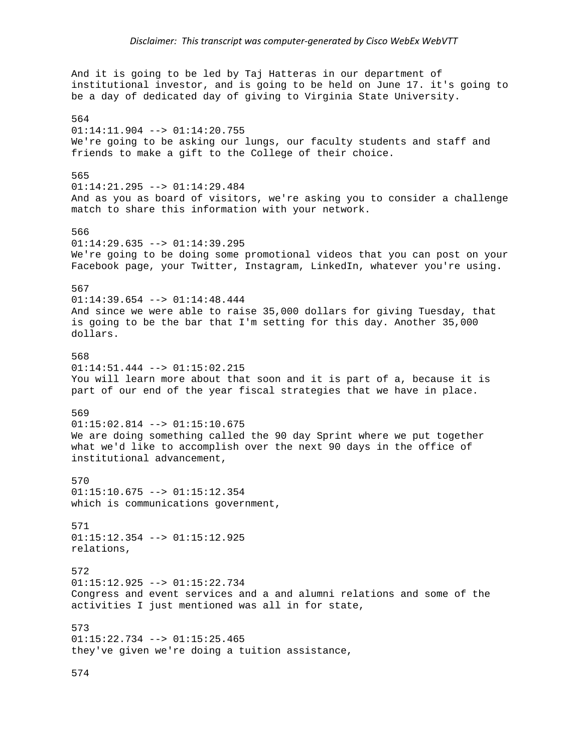And it is going to be led by Taj Hatteras in our department of institutional investor, and is going to be held on June 17. it's going to be a day of dedicated day of giving to Virginia State University. 564 01:14:11.904 --> 01:14:20.755 We're going to be asking our lungs, our faculty students and staff and friends to make a gift to the College of their choice. 565 01:14:21.295 --> 01:14:29.484 And as you as board of visitors, we're asking you to consider a challenge match to share this information with your network. 566  $01:14:29.635$  -->  $01:14:39.295$ We're going to be doing some promotional videos that you can post on your Facebook page, your Twitter, Instagram, LinkedIn, whatever you're using. 567 01:14:39.654 --> 01:14:48.444 And since we were able to raise 35,000 dollars for giving Tuesday, that is going to be the bar that I'm setting for this day. Another 35,000 dollars. 568  $01:14:51.444$  -->  $01:15:02.215$ You will learn more about that soon and it is part of a, because it is part of our end of the year fiscal strategies that we have in place. 569  $01:15:02.814$  -->  $01:15:10.675$ We are doing something called the 90 day Sprint where we put together what we'd like to accomplish over the next 90 days in the office of institutional advancement, 570 01:15:10.675 --> 01:15:12.354 which is communications government, 571 01:15:12.354 --> 01:15:12.925 relations, 572 01:15:12.925 --> 01:15:22.734 Congress and event services and a and alumni relations and some of the activities I just mentioned was all in for state, 573 01:15:22.734 --> 01:15:25.465 they've given we're doing a tuition assistance,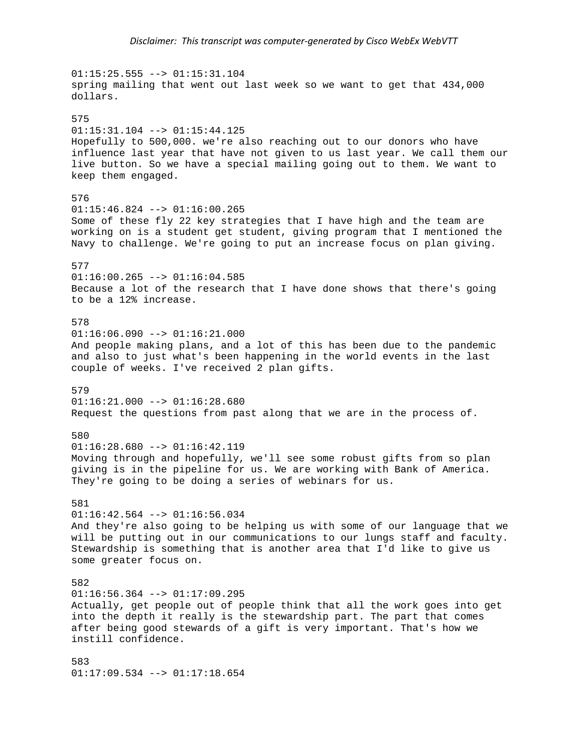$01:15:25.555$  -->  $01:15:31.104$ spring mailing that went out last week so we want to get that 434,000 dollars. 575  $01:15:31.104$  -->  $01:15:44.125$ Hopefully to 500,000. we're also reaching out to our donors who have influence last year that have not given to us last year. We call them our live button. So we have a special mailing going out to them. We want to keep them engaged. 576  $01:15:46.824$  -->  $01:16:00.265$ Some of these fly 22 key strategies that I have high and the team are working on is a student get student, giving program that I mentioned the Navy to challenge. We're going to put an increase focus on plan giving. 577  $01:16:00.265$  -->  $01:16:04.585$ Because a lot of the research that I have done shows that there's going to be a 12% increase. 578  $01:16:06.090$  -->  $01:16:21.000$ And people making plans, and a lot of this has been due to the pandemic and also to just what's been happening in the world events in the last couple of weeks. I've received 2 plan gifts. 579  $01:16:21.000$  -->  $01:16:28.680$ Request the questions from past along that we are in the process of. 580  $01:16:28.680$  -->  $01:16:42.119$ Moving through and hopefully, we'll see some robust gifts from so plan giving is in the pipeline for us. We are working with Bank of America. They're going to be doing a series of webinars for us. 581  $01:16:42.564$  -->  $01:16:56.034$ And they're also going to be helping us with some of our language that we will be putting out in our communications to our lungs staff and faculty. Stewardship is something that is another area that I'd like to give us some greater focus on. 582  $01:16:56.364$  -->  $01:17:09.295$ Actually, get people out of people think that all the work goes into get into the depth it really is the stewardship part. The part that comes after being good stewards of a gift is very important. That's how we instill confidence. 583 01:17:09.534 --> 01:17:18.654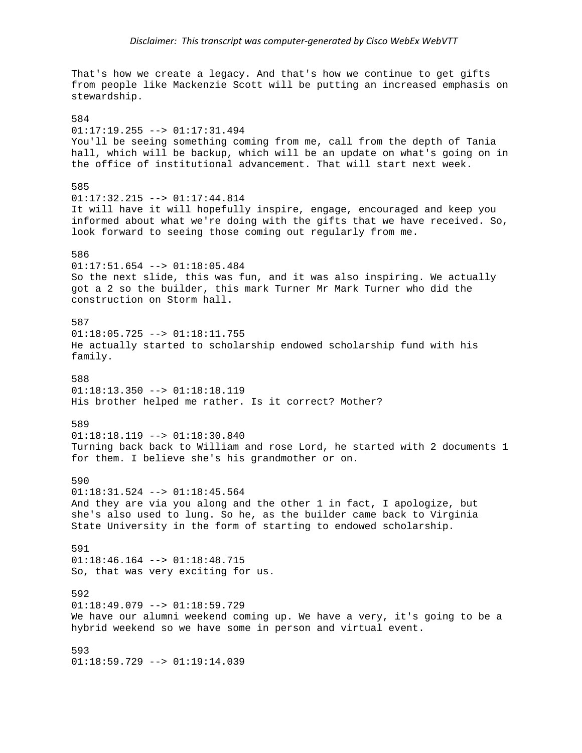That's how we create a legacy. And that's how we continue to get gifts from people like Mackenzie Scott will be putting an increased emphasis on stewardship. 584 01:17:19.255 --> 01:17:31.494 You'll be seeing something coming from me, call from the depth of Tania hall, which will be backup, which will be an update on what's going on in the office of institutional advancement. That will start next week. 585  $01:17:32.215$  -->  $01:17:44.814$ It will have it will hopefully inspire, engage, encouraged and keep you informed about what we're doing with the gifts that we have received. So, look forward to seeing those coming out regularly from me. 586 01:17:51.654 --> 01:18:05.484 So the next slide, this was fun, and it was also inspiring. We actually got a 2 so the builder, this mark Turner Mr Mark Turner who did the construction on Storm hall. 587  $01:18:05.725$  -->  $01:18:11.755$ He actually started to scholarship endowed scholarship fund with his family. 588 01:18:13.350 --> 01:18:18.119 His brother helped me rather. Is it correct? Mother? 589  $01:18:18.119$  -->  $01:18:30.840$ Turning back back to William and rose Lord, he started with 2 documents 1 for them. I believe she's his grandmother or on. 590 01:18:31.524 --> 01:18:45.564 And they are via you along and the other 1 in fact, I apologize, but she's also used to lung. So he, as the builder came back to Virginia State University in the form of starting to endowed scholarship. 591 01:18:46.164 --> 01:18:48.715 So, that was very exciting for us. 592  $01:18:49.079$  -->  $01:18:59.729$ We have our alumni weekend coming up. We have a very, it's going to be a hybrid weekend so we have some in person and virtual event. 593 01:18:59.729 --> 01:19:14.039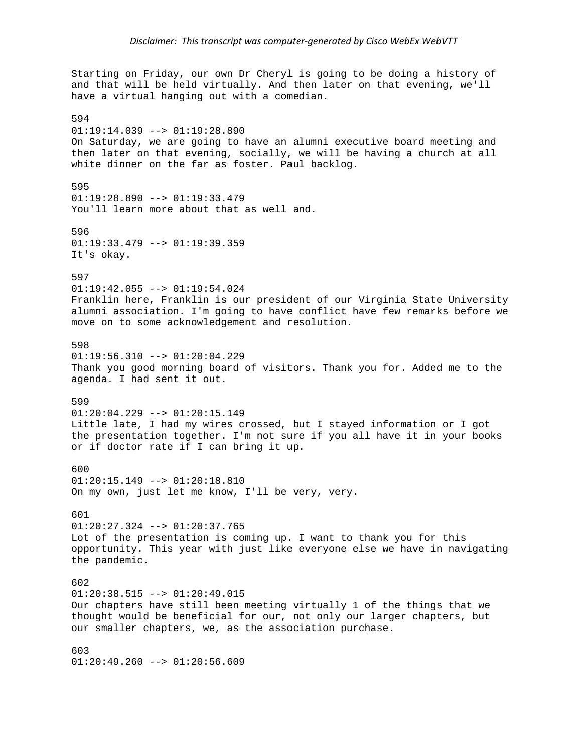Starting on Friday, our own Dr Cheryl is going to be doing a history of and that will be held virtually. And then later on that evening, we'll have a virtual hanging out with a comedian. 594  $01:19:14.039$  -->  $01:19:28.890$ On Saturday, we are going to have an alumni executive board meeting and then later on that evening, socially, we will be having a church at all white dinner on the far as foster. Paul backlog. 595  $01:19:28.890$  -->  $01:19:33.479$ You'll learn more about that as well and. 596  $01:19:33.479$  -->  $01:19:39.359$ It's okay. 597  $01:19:42.055$  -->  $01:19:54.024$ Franklin here, Franklin is our president of our Virginia State University alumni association. I'm going to have conflict have few remarks before we move on to some acknowledgement and resolution. 598  $01:19:56.310$  -->  $01:20:04.229$ Thank you good morning board of visitors. Thank you for. Added me to the agenda. I had sent it out. 599 01:20:04.229 --> 01:20:15.149 Little late, I had my wires crossed, but I stayed information or I got the presentation together. I'm not sure if you all have it in your books or if doctor rate if I can bring it up. 600 01:20:15.149 --> 01:20:18.810 On my own, just let me know, I'll be very, very. 601  $01:20:27.324$  -->  $01:20:37.765$ Lot of the presentation is coming up. I want to thank you for this opportunity. This year with just like everyone else we have in navigating the pandemic. 602  $01:20:38.515$  -->  $01:20:49.015$ Our chapters have still been meeting virtually 1 of the things that we thought would be beneficial for our, not only our larger chapters, but our smaller chapters, we, as the association purchase. 603 01:20:49.260 --> 01:20:56.609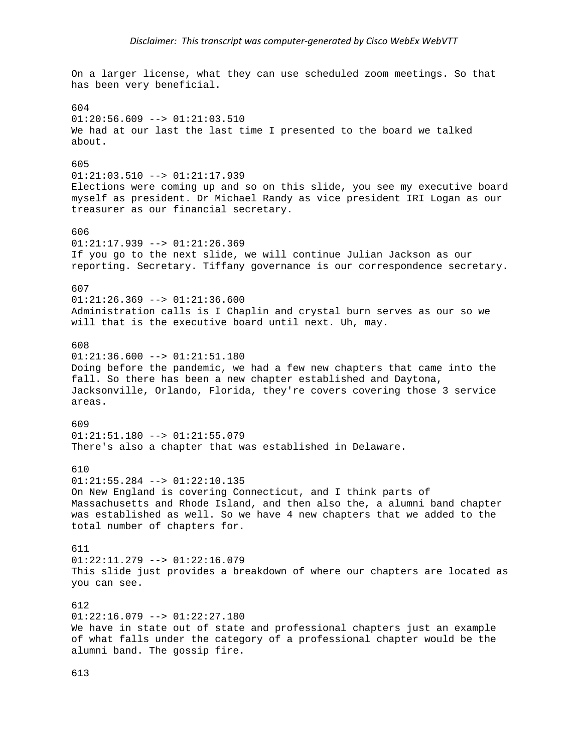On a larger license, what they can use scheduled zoom meetings. So that has been very beneficial. 604  $01:20:56.609$  -->  $01:21:03.510$ We had at our last the last time I presented to the board we talked about. 605 01:21:03.510 --> 01:21:17.939 Elections were coming up and so on this slide, you see my executive board myself as president. Dr Michael Randy as vice president IRI Logan as our treasurer as our financial secretary. 606  $01:21:17.939$  -->  $01:21:26.369$ If you go to the next slide, we will continue Julian Jackson as our reporting. Secretary. Tiffany governance is our correspondence secretary. 607  $01:21:26.369$  -->  $01:21:36.600$ Administration calls is I Chaplin and crystal burn serves as our so we will that is the executive board until next. Uh, may. 608  $01:21:36.600$  -->  $01:21:51.180$ Doing before the pandemic, we had a few new chapters that came into the fall. So there has been a new chapter established and Daytona, Jacksonville, Orlando, Florida, they're covers covering those 3 service areas. 609 01:21:51.180 --> 01:21:55.079 There's also a chapter that was established in Delaware. 610 01:21:55.284 --> 01:22:10.135 On New England is covering Connecticut, and I think parts of Massachusetts and Rhode Island, and then also the, a alumni band chapter was established as well. So we have 4 new chapters that we added to the total number of chapters for. 611 01:22:11.279 --> 01:22:16.079 This slide just provides a breakdown of where our chapters are located as you can see. 612  $01:22:16.079$  -->  $01:22:27.180$ We have in state out of state and professional chapters just an example of what falls under the category of a professional chapter would be the alumni band. The gossip fire.

613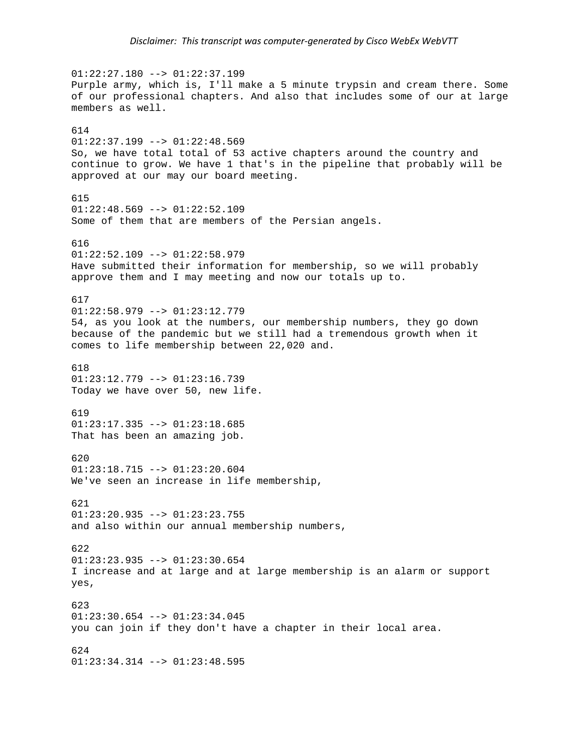$01:22:27.180$  -->  $01:22:37.199$ Purple army, which is, I'll make a 5 minute trypsin and cream there. Some of our professional chapters. And also that includes some of our at large members as well. 614 01:22:37.199 --> 01:22:48.569 So, we have total total of 53 active chapters around the country and continue to grow. We have 1 that's in the pipeline that probably will be approved at our may our board meeting. 615  $01:22:48.569$  -->  $01:22:52.109$ Some of them that are members of the Persian angels. 616 01:22:52.109 --> 01:22:58.979 Have submitted their information for membership, so we will probably approve them and I may meeting and now our totals up to. 617  $01:22:58.979$  -->  $01:23:12.779$ 54, as you look at the numbers, our membership numbers, they go down because of the pandemic but we still had a tremendous growth when it comes to life membership between 22,020 and. 618  $01:23:12.779$  -->  $01:23:16.739$ Today we have over 50, new life. 619 01:23:17.335 --> 01:23:18.685 That has been an amazing job. 620 01:23:18.715 --> 01:23:20.604 We've seen an increase in life membership, 621  $01:23:20.935$  -->  $01:23:23.755$ and also within our annual membership numbers, 622 01:23:23.935 --> 01:23:30.654 I increase and at large and at large membership is an alarm or support yes, 623  $01:23:30.654$  -->  $01:23:34.045$ you can join if they don't have a chapter in their local area. 624 01:23:34.314 --> 01:23:48.595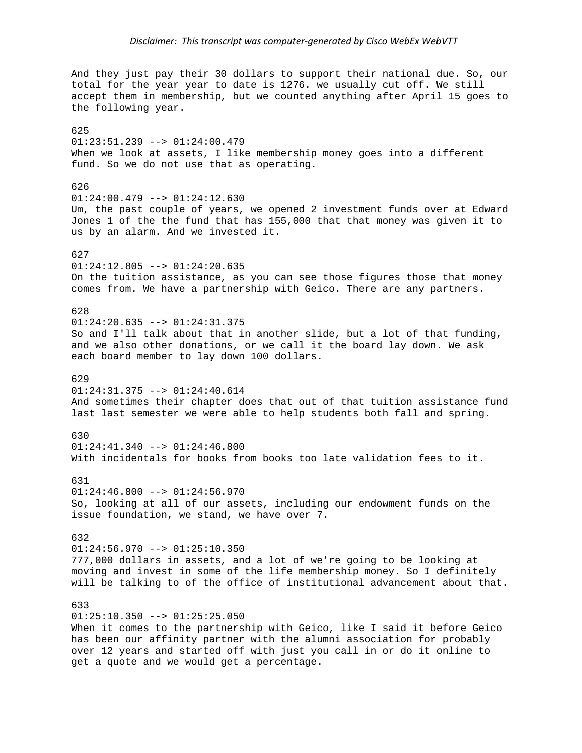And they just pay their 30 dollars to support their national due. So, our total for the year year to date is 1276. we usually cut off. We still accept them in membership, but we counted anything after April 15 goes to the following year. 625 01:23:51.239 --> 01:24:00.479 When we look at assets, I like membership money goes into a different fund. So we do not use that as operating. 626  $01:24:00.479$  -->  $01:24:12.630$ Um, the past couple of years, we opened 2 investment funds over at Edward Jones 1 of the the fund that has 155,000 that that money was given it to us by an alarm. And we invested it. 627  $01:24:12.805$  -->  $01:24:20.635$ On the tuition assistance, as you can see those figures those that money comes from. We have a partnership with Geico. There are any partners. 628 01:24:20.635 --> 01:24:31.375 So and I'll talk about that in another slide, but a lot of that funding, and we also other donations, or we call it the board lay down. We ask each board member to lay down 100 dollars. 629 01:24:31.375 --> 01:24:40.614 And sometimes their chapter does that out of that tuition assistance fund last last semester we were able to help students both fall and spring. 630  $01:24:41.340$  -->  $01:24:46.800$ With incidentals for books from books too late validation fees to it. 631  $01:24:46.800$  -->  $01:24:56.970$ So, looking at all of our assets, including our endowment funds on the issue foundation, we stand, we have over 7. 632 01:24:56.970 --> 01:25:10.350 777,000 dollars in assets, and a lot of we're going to be looking at moving and invest in some of the life membership money. So I definitely will be talking to of the office of institutional advancement about that. 633  $01:25:10.350$  -->  $01:25:25.050$ When it comes to the partnership with Geico, like I said it before Geico has been our affinity partner with the alumni association for probably over 12 years and started off with just you call in or do it online to

get a quote and we would get a percentage.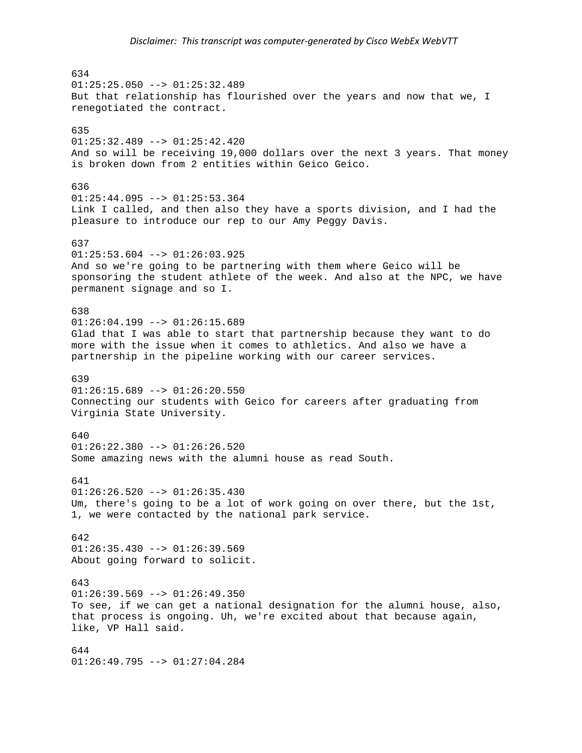634  $01:25:25.050$  -->  $01:25:32.489$ But that relationship has flourished over the years and now that we, I renegotiated the contract. 635 01:25:32.489 --> 01:25:42.420 And so will be receiving 19,000 dollars over the next 3 years. That money is broken down from 2 entities within Geico Geico. 636  $01:25:44.095$  -->  $01:25:53.364$ Link I called, and then also they have a sports division, and I had the pleasure to introduce our rep to our Amy Peggy Davis. 637  $01:25:53.604$  -->  $01:26:03.925$ And so we're going to be partnering with them where Geico will be sponsoring the student athlete of the week. And also at the NPC, we have permanent signage and so I. 638  $01:26:04.199$  -->  $01:26:15.689$ Glad that I was able to start that partnership because they want to do more with the issue when it comes to athletics. And also we have a partnership in the pipeline working with our career services. 639  $01:26:15.689$  -->  $01:26:20.550$ Connecting our students with Geico for careers after graduating from Virginia State University. 640  $01:26:22.380$  -->  $01:26:26.520$ Some amazing news with the alumni house as read South. 641  $01:26:26.520$  -->  $01:26:35.430$ Um, there's going to be a lot of work going on over there, but the 1st, 1, we were contacted by the national park service. 642  $01:26:35.430$  -->  $01:26:39.569$ About going forward to solicit. 643  $01:26:39.569$  -->  $01:26:49.350$ To see, if we can get a national designation for the alumni house, also, that process is ongoing. Uh, we're excited about that because again, like, VP Hall said. 644 01:26:49.795 --> 01:27:04.284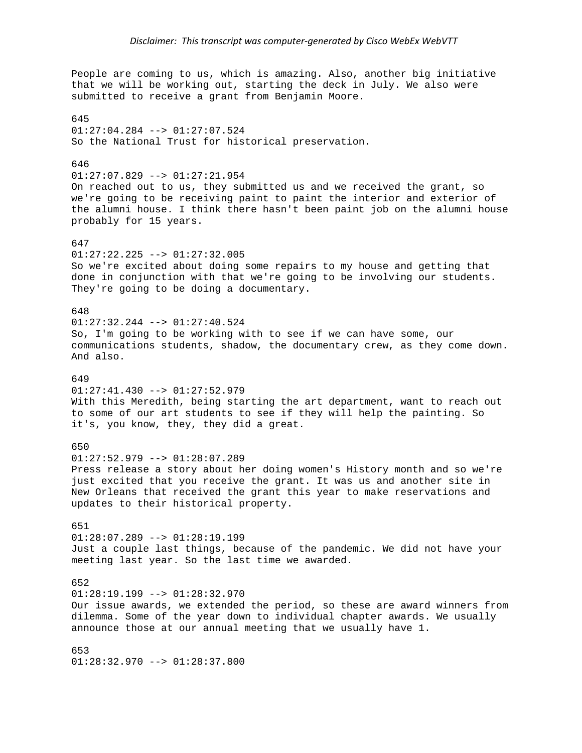People are coming to us, which is amazing. Also, another big initiative that we will be working out, starting the deck in July. We also were submitted to receive a grant from Benjamin Moore.

645 01:27:04.284 --> 01:27:07.524 So the National Trust for historical preservation.

## 646

01:27:07.829 --> 01:27:21.954

On reached out to us, they submitted us and we received the grant, so we're going to be receiving paint to paint the interior and exterior of the alumni house. I think there hasn't been paint job on the alumni house probably for 15 years.

## 647

01:27:22.225 --> 01:27:32.005 So we're excited about doing some repairs to my house and getting that done in conjunction with that we're going to be involving our students. They're going to be doing a documentary.

## 648

01:27:32.244 --> 01:27:40.524 So, I'm going to be working with to see if we can have some, our communications students, shadow, the documentary crew, as they come down. And also.

#### 649

01:27:41.430 --> 01:27:52.979 With this Meredith, being starting the art department, want to reach out to some of our art students to see if they will help the painting. So it's, you know, they, they did a great.

## 650

01:27:52.979 --> 01:28:07.289

Press release a story about her doing women's History month and so we're just excited that you receive the grant. It was us and another site in New Orleans that received the grant this year to make reservations and updates to their historical property.

651 01:28:07.289 --> 01:28:19.199 Just a couple last things, because of the pandemic. We did not have your meeting last year. So the last time we awarded.

### 652

01:28:19.199 --> 01:28:32.970

Our issue awards, we extended the period, so these are award winners from dilemma. Some of the year down to individual chapter awards. We usually announce those at our annual meeting that we usually have 1.

653 01:28:32.970 --> 01:28:37.800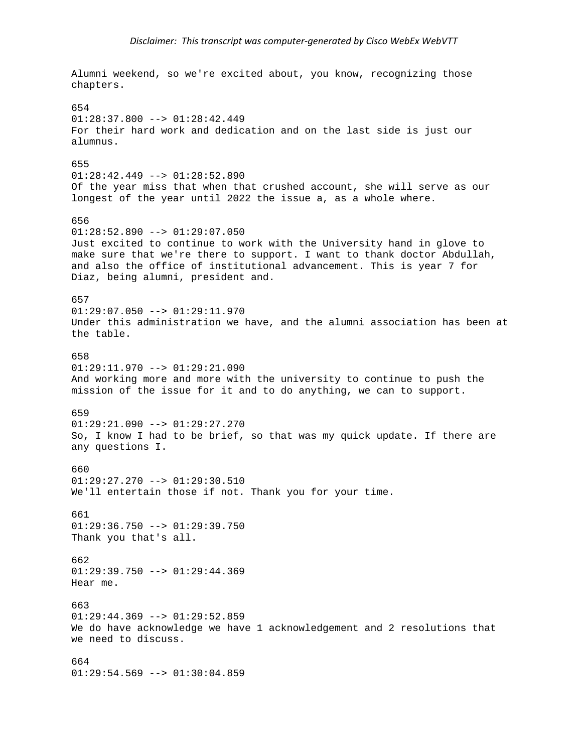Alumni weekend, so we're excited about, you know, recognizing those chapters. 654  $01:28:37.800$  -->  $01:28:42.449$ For their hard work and dedication and on the last side is just our alumnus. 655  $01:28:42.449$  -->  $01:28:52.890$ Of the year miss that when that crushed account, she will serve as our longest of the year until 2022 the issue a, as a whole where. 656  $01:28:52.890$  -->  $01:29:07.050$ Just excited to continue to work with the University hand in glove to make sure that we're there to support. I want to thank doctor Abdullah, and also the office of institutional advancement. This is year 7 for Diaz, being alumni, president and. 657  $01:29:07.050$  -->  $01:29:11.970$ Under this administration we have, and the alumni association has been at the table. 658  $01:29:11.970$  -->  $01:29:21.090$ And working more and more with the university to continue to push the mission of the issue for it and to do anything, we can to support. 659 01:29:21.090 --> 01:29:27.270 So, I know I had to be brief, so that was my quick update. If there are any questions I. 660 01:29:27.270 --> 01:29:30.510 We'll entertain those if not. Thank you for your time. 661  $01:29:36.750$  -->  $01:29:39.750$ Thank you that's all. 662  $01:29:39.750$  -->  $01:29:44.369$ Hear me. 663  $01:29:44.369$  -->  $01:29:52.859$ We do have acknowledge we have 1 acknowledgement and 2 resolutions that we need to discuss. 664 01:29:54.569 --> 01:30:04.859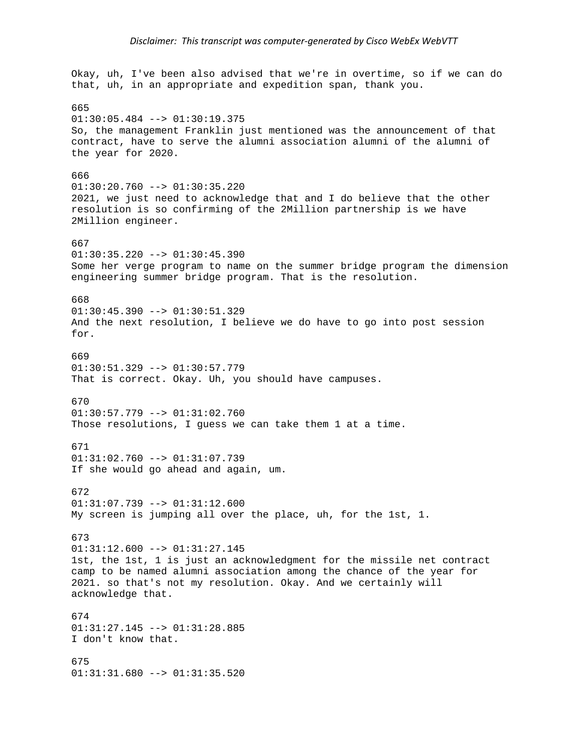# *Disclaimer: This transcript was computer‐generated by Cisco WebEx WebVTT*

Okay, uh, I've been also advised that we're in overtime, so if we can do that, uh, in an appropriate and expedition span, thank you. 665  $01:30:05.484$  -->  $01:30:19.375$ So, the management Franklin just mentioned was the announcement of that contract, have to serve the alumni association alumni of the alumni of the year for 2020. 666 01:30:20.760 --> 01:30:35.220 2021, we just need to acknowledge that and I do believe that the other resolution is so confirming of the 2Million partnership is we have 2Million engineer. 667 01:30:35.220 --> 01:30:45.390 Some her verge program to name on the summer bridge program the dimension engineering summer bridge program. That is the resolution. 668  $01:30:45.390$  -->  $01:30:51.329$ And the next resolution, I believe we do have to go into post session for. 669  $01:30:51.329$  -->  $01:30:57.779$ That is correct. Okay. Uh, you should have campuses. 670 01:30:57.779 --> 01:31:02.760 Those resolutions, I guess we can take them 1 at a time. 671 01:31:02.760 --> 01:31:07.739 If she would go ahead and again, um. 672  $01:31:07.739$  -->  $01:31:12.600$ My screen is jumping all over the place, uh, for the 1st, 1. 673 01:31:12.600 --> 01:31:27.145 1st, the 1st, 1 is just an acknowledgment for the missile net contract camp to be named alumni association among the chance of the year for 2021. so that's not my resolution. Okay. And we certainly will acknowledge that. 674 01:31:27.145 --> 01:31:28.885 I don't know that. 675 01:31:31.680 --> 01:31:35.520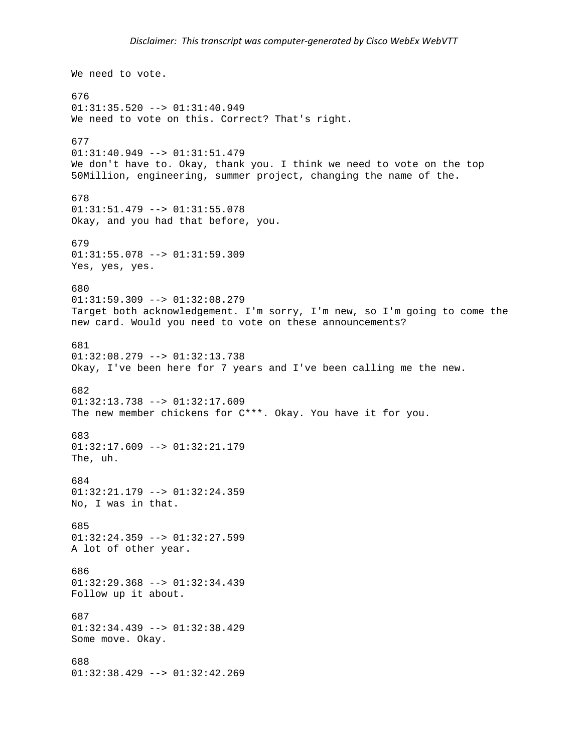```
We need to vote. 
676 
01:31:35.520 --> 01:31:40.949 
We need to vote on this. Correct? That's right. 
677 
01:31:40.949 --> 01:31:51.479 
We don't have to. Okay, thank you. I think we need to vote on the top 
50Million, engineering, summer project, changing the name of the. 
678 
01:31:51.479 --> 01:31:55.078Okay, and you had that before, you. 
679 
01:31:55.078 --> 01:31:59.309 
Yes, yes, yes. 
680 
01:31:59.309 --> 01:32:08.279 
Target both acknowledgement. I'm sorry, I'm new, so I'm going to come the 
new card. Would you need to vote on these announcements? 
681 
01:32:08.279 --> 01:32:13.738 
Okay, I've been here for 7 years and I've been calling me the new. 
682 
01:32:13.738 --> 01:32:17.609 
The new member chickens for C***. Okay. You have it for you. 
683 
01:32:17.609 --> 01:32:21.179The, uh. 
684 
01:32:21.179 --> 01:32:24.359 
No, I was in that. 
685 
01:32:24.359 --> 01:32:27.599 
A lot of other year. 
686 
01:32:29.368 --> 01:32:34.439 
Follow up it about. 
687 
01:32:34.439 --> 01:32:38.429 
Some move. Okay. 
688 
01:32:38.429 --> 01:32:42.269
```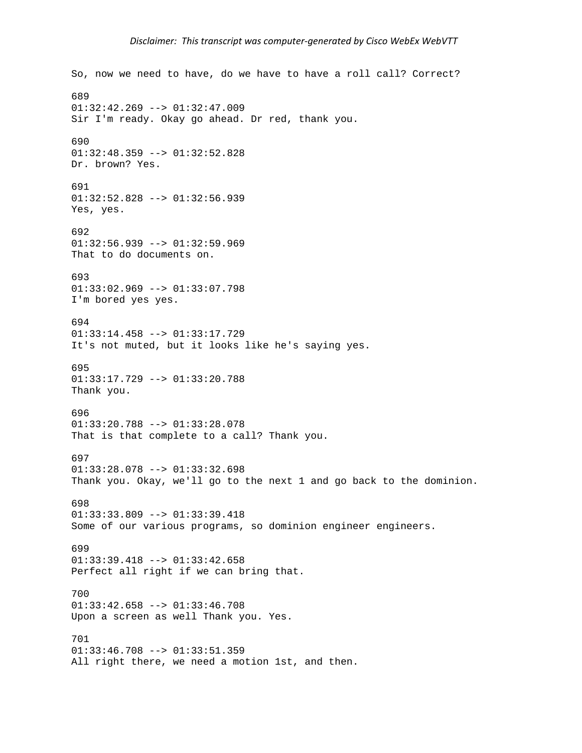```
So, now we need to have, do we have to have a roll call? Correct? 
689 
01:32:42.269 --> 01:32:47.009 
Sir I'm ready. Okay go ahead. Dr red, thank you. 
690 
01:32:48.359 --> 01:32:52.828 
Dr. brown? Yes. 
691 
01:32:52.828 --> 01:32:56.939 
Yes, yes. 
692 
01:32:56.939 --> 01:32:59.969That to do documents on. 
693 
01:33:02.969 --> 01:33:07.798 
I'm bored yes yes. 
694 
01:33:14.458 --> 01:33:17.729 
It's not muted, but it looks like he's saying yes. 
695 
01:33:17.729 --> 01:33:20.788 
Thank you. 
696 
01:33:20.788 --> 01:33:28.078 
That is that complete to a call? Thank you. 
697 
01:33:28.078 --> 01:33:32.698Thank you. Okay, we'll go to the next 1 and go back to the dominion. 
698 
01:33:33.809 --> 01:33:39.418Some of our various programs, so dominion engineer engineers. 
699 
01:33:39.418 --> 01:33:42.658 
Perfect all right if we can bring that. 
700 
01:33:42.658 --> 01:33:46.708 
Upon a screen as well Thank you. Yes. 
701 
01:33:46.708 --> 01:33:51.359 
All right there, we need a motion 1st, and then.
```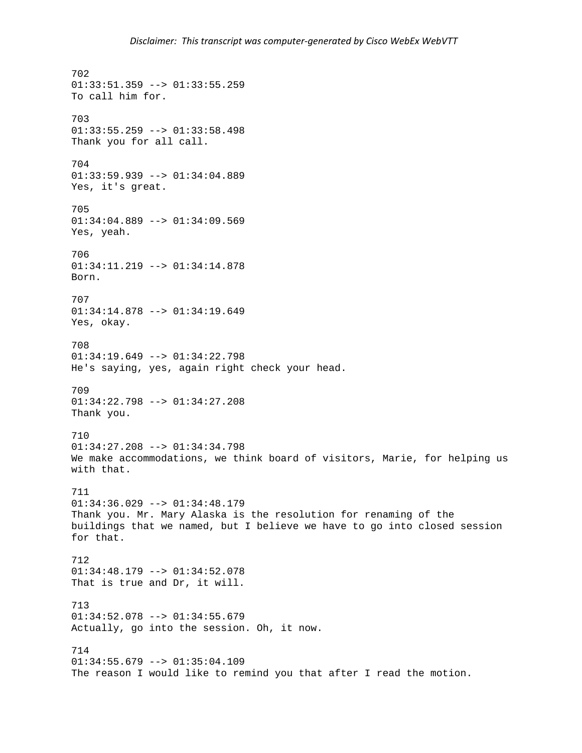702  $01:33:51.359$  -->  $01:33:55.259$ To call him for. 703  $01:33:55.259$  -->  $01:33:58.498$ Thank you for all call. 704 01:33:59.939 --> 01:34:04.889 Yes, it's great. 705 01:34:04.889 --> 01:34:09.569 Yes, yeah. 706 01:34:11.219 --> 01:34:14.878 Born. 707 01:34:14.878 --> 01:34:19.649 Yes, okay. 708 01:34:19.649 --> 01:34:22.798 He's saying, yes, again right check your head. 709 01:34:22.798 --> 01:34:27.208 Thank you. 710 01:34:27.208 --> 01:34:34.798 We make accommodations, we think board of visitors, Marie, for helping us with that. 711 01:34:36.029 --> 01:34:48.179 Thank you. Mr. Mary Alaska is the resolution for renaming of the buildings that we named, but I believe we have to go into closed session for that. 712 01:34:48.179 --> 01:34:52.078 That is true and Dr, it will. 713  $01:34:52.078$  -->  $01:34:55.679$ Actually, go into the session. Oh, it now. 714 01:34:55.679 --> 01:35:04.109 The reason I would like to remind you that after I read the motion.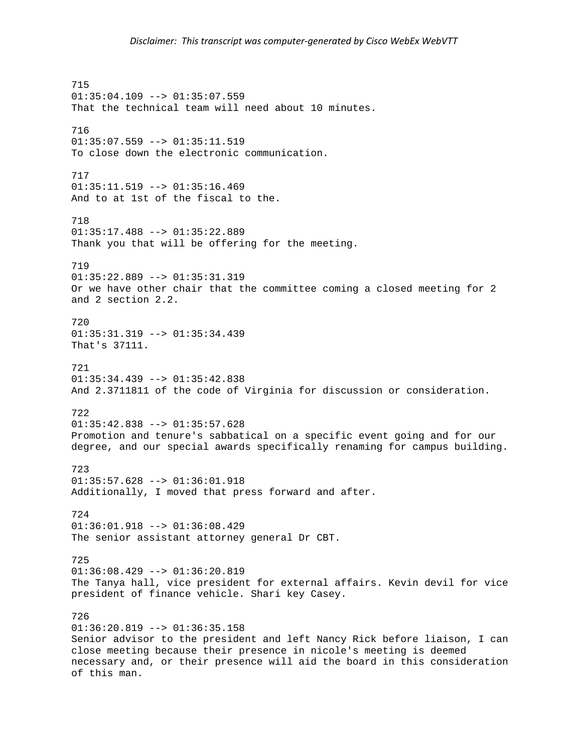715 01:35:04.109 --> 01:35:07.559 That the technical team will need about 10 minutes. 716 01:35:07.559 --> 01:35:11.519 To close down the electronic communication. 717 01:35:11.519 --> 01:35:16.469 And to at 1st of the fiscal to the. 718 01:35:17.488 --> 01:35:22.889 Thank you that will be offering for the meeting. 719 01:35:22.889 --> 01:35:31.319 Or we have other chair that the committee coming a closed meeting for 2 and 2 section 2.2. 720 01:35:31.319 --> 01:35:34.439 That's 37111. 721  $01:35:34.439$  -->  $01:35:42.838$ And 2.3711811 of the code of Virginia for discussion or consideration. 722 01:35:42.838 --> 01:35:57.628 Promotion and tenure's sabbatical on a specific event going and for our degree, and our special awards specifically renaming for campus building. 723 01:35:57.628 --> 01:36:01.918 Additionally, I moved that press forward and after. 724 01:36:01.918 --> 01:36:08.429 The senior assistant attorney general Dr CBT. 725  $01:36:08.429$  -->  $01:36:20.819$ The Tanya hall, vice president for external affairs. Kevin devil for vice president of finance vehicle. Shari key Casey. 726 01:36:20.819 --> 01:36:35.158 Senior advisor to the president and left Nancy Rick before liaison, I can close meeting because their presence in nicole's meeting is deemed necessary and, or their presence will aid the board in this consideration of this man.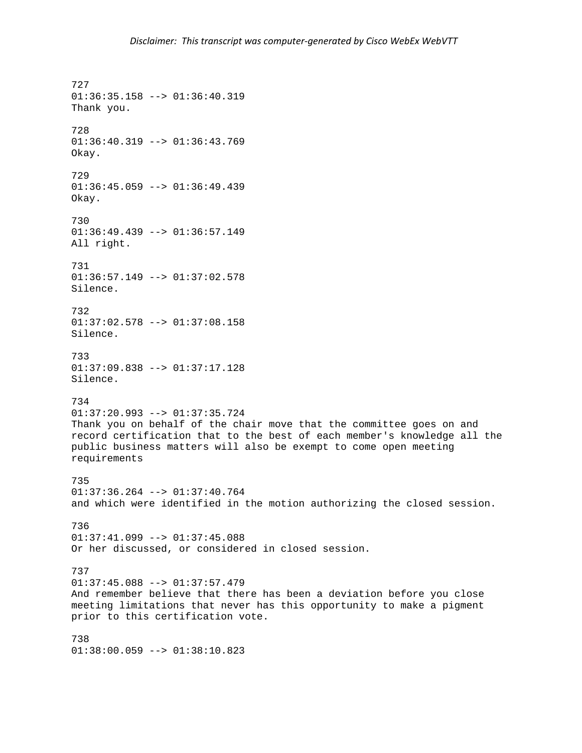727 01:36:35.158 --> 01:36:40.319 Thank you. 728 01:36:40.319 --> 01:36:43.769 Okay. 729 01:36:45.059 --> 01:36:49.439 Okay. 730 01:36:49.439 --> 01:36:57.149 All right. 731 01:36:57.149 --> 01:37:02.578 Silence. 732 01:37:02.578 --> 01:37:08.158 Silence. 733 01:37:09.838 --> 01:37:17.128 Silence. 734 01:37:20.993 --> 01:37:35.724 Thank you on behalf of the chair move that the committee goes on and record certification that to the best of each member's knowledge all the public business matters will also be exempt to come open meeting requirements 735 01:37:36.264 --> 01:37:40.764 and which were identified in the motion authorizing the closed session. 736  $01:37:41.099$  -->  $01:37:45.088$ Or her discussed, or considered in closed session. 737 01:37:45.088 --> 01:37:57.479 And remember believe that there has been a deviation before you close meeting limitations that never has this opportunity to make a pigment prior to this certification vote. 738 01:38:00.059 --> 01:38:10.823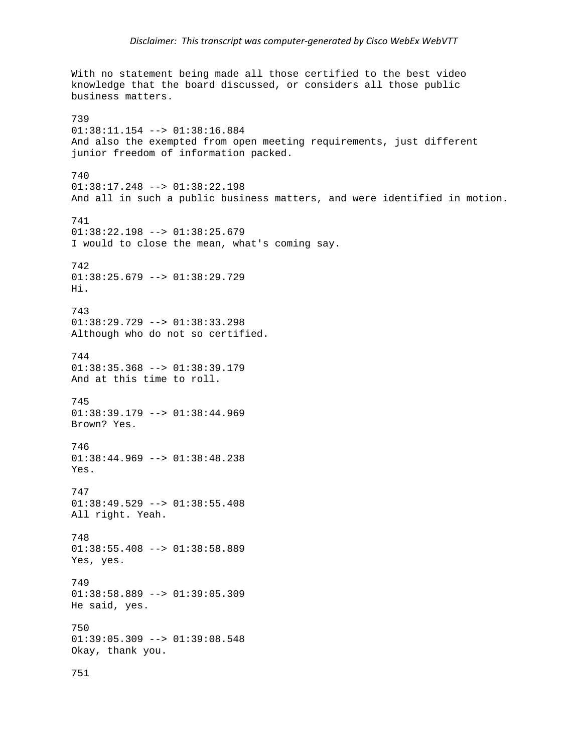With no statement being made all those certified to the best video knowledge that the board discussed, or considers all those public business matters. 739 01:38:11.154 --> 01:38:16.884 And also the exempted from open meeting requirements, just different junior freedom of information packed. 740 01:38:17.248 --> 01:38:22.198 And all in such a public business matters, and were identified in motion. 741 01:38:22.198 --> 01:38:25.679 I would to close the mean, what's coming say. 742 01:38:25.679 --> 01:38:29.729 Hi. 743 01:38:29.729 --> 01:38:33.298 Although who do not so certified. 744  $01:38:35.368$  -->  $01:38:39.179$ And at this time to roll. 745 01:38:39.179 --> 01:38:44.969 Brown? Yes. 746 01:38:44.969 --> 01:38:48.238 Yes. 747 01:38:49.529 --> 01:38:55.408 All right. Yeah. 748 01:38:55.408 --> 01:38:58.889 Yes, yes. 749 01:38:58.889 --> 01:39:05.309 He said, yes. 750 01:39:05.309 --> 01:39:08.548 Okay, thank you. 751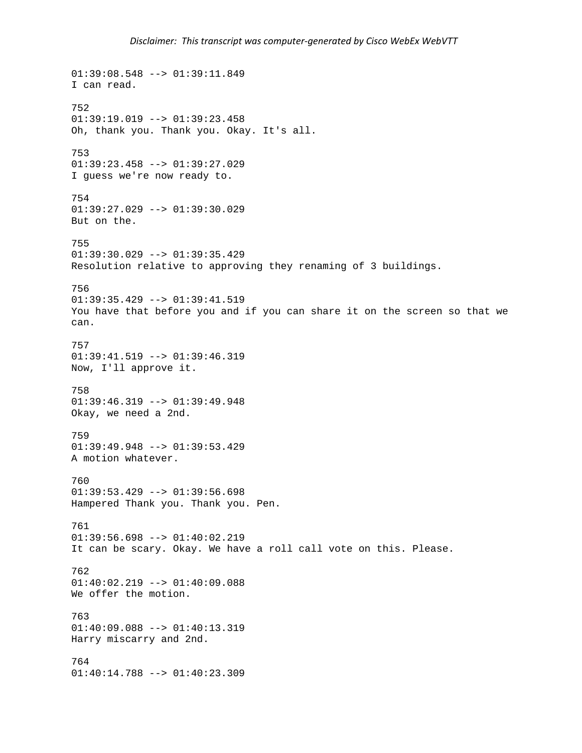```
01:39:08.548 --> 01:39:11.849 
I can read. 
752 
01:39:19.019 --> 01:39:23.458Oh, thank you. Thank you. Okay. It's all. 
753 
01:39:23.458 --> 01:39:27.029 
I guess we're now ready to. 
754 
01:39:27.029 --> 01:39:30.029 
But on the. 
755 
01:39:30.029 --> 01:39:35.429 
Resolution relative to approving they renaming of 3 buildings. 
756 
01:39:35.429 --> 01:39:41.519 
You have that before you and if you can share it on the screen so that we 
can. 
757 
01:39:41.519 --> 01:39:46.319 
Now, I'll approve it. 
758 
01:39:46.319 --> 01:39:49.948 
Okay, we need a 2nd. 
759 
01:39:49.948 --> 01:39:53.429 
A motion whatever. 
760 
01:39:53.429 --> 01:39:56.698 
Hampered Thank you. Thank you. Pen. 
761 
01:39:56.698 --> 01:40:02.219 
It can be scary. Okay. We have a roll call vote on this. Please. 
762 
01:40:02.219 --> 01:40:09.088 
We offer the motion. 
763 
01:40:09.088 --> 01:40:13.319 
Harry miscarry and 2nd. 
764 
01:40:14.788 --> 01:40:23.309
```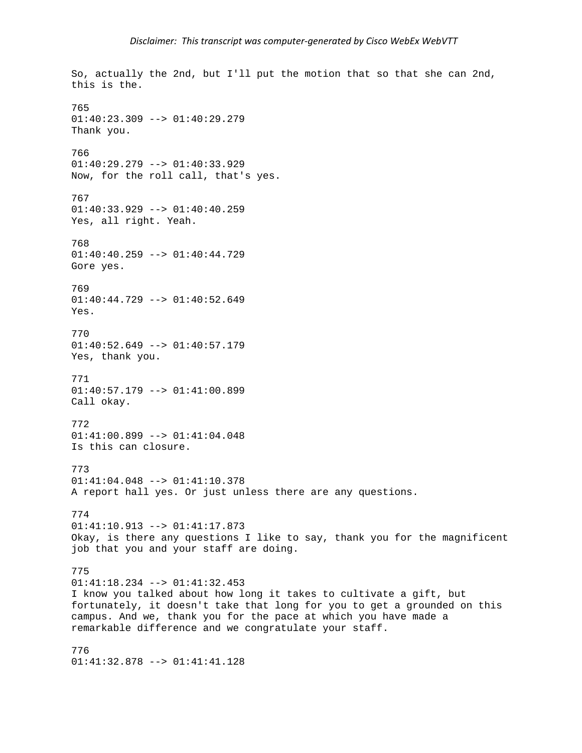So, actually the 2nd, but I'll put the motion that so that she can 2nd, this is the. 765  $01:40:23.309$  -->  $01:40:29.279$ Thank you. 766 01:40:29.279 --> 01:40:33.929 Now, for the roll call, that's yes. 767 01:40:33.929 --> 01:40:40.259 Yes, all right. Yeah. 768 01:40:40.259 --> 01:40:44.729 Gore yes. 769 01:40:44.729 --> 01:40:52.649 Yes. 770 01:40:52.649 --> 01:40:57.179 Yes, thank you. 771 01:40:57.179 --> 01:41:00.899 Call okay. 772 01:41:00.899 --> 01:41:04.048 Is this can closure. 773 01:41:04.048 --> 01:41:10.378 A report hall yes. Or just unless there are any questions. 774 01:41:10.913 --> 01:41:17.873 Okay, is there any questions I like to say, thank you for the magnificent job that you and your staff are doing. 775 01:41:18.234 --> 01:41:32.453 I know you talked about how long it takes to cultivate a gift, but fortunately, it doesn't take that long for you to get a grounded on this campus. And we, thank you for the pace at which you have made a remarkable difference and we congratulate your staff. 776

01:41:32.878 --> 01:41:41.128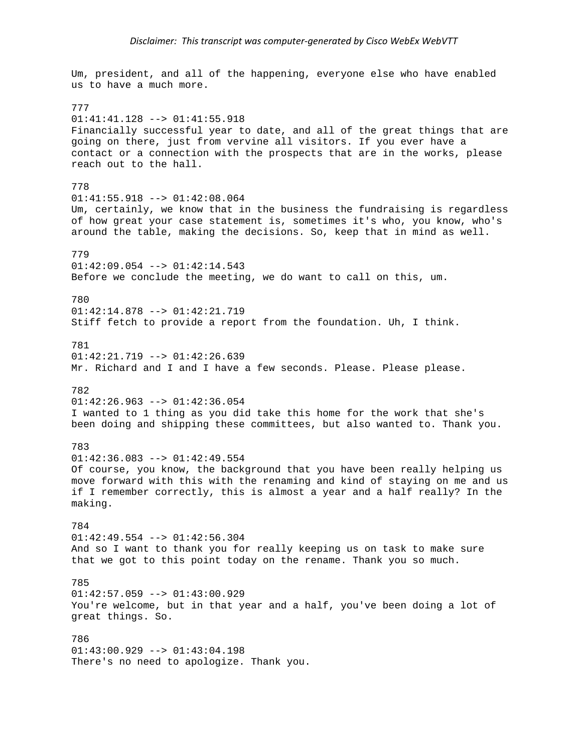Um, president, and all of the happening, everyone else who have enabled us to have a much more. 777 01:41:41.128 --> 01:41:55.918 Financially successful year to date, and all of the great things that are going on there, just from vervine all visitors. If you ever have a contact or a connection with the prospects that are in the works, please reach out to the hall. 778 01:41:55.918 --> 01:42:08.064 Um, certainly, we know that in the business the fundraising is regardless of how great your case statement is, sometimes it's who, you know, who's around the table, making the decisions. So, keep that in mind as well. 779 01:42:09.054 --> 01:42:14.543 Before we conclude the meeting, we do want to call on this, um. 780 01:42:14.878 --> 01:42:21.719 Stiff fetch to provide a report from the foundation. Uh, I think. 781 01:42:21.719 --> 01:42:26.639 Mr. Richard and I and I have a few seconds. Please. Please please. 782 01:42:26.963 --> 01:42:36.054 I wanted to 1 thing as you did take this home for the work that she's been doing and shipping these committees, but also wanted to. Thank you. 783 01:42:36.083 --> 01:42:49.554 Of course, you know, the background that you have been really helping us move forward with this with the renaming and kind of staying on me and us if I remember correctly, this is almost a year and a half really? In the making. 784 01:42:49.554 --> 01:42:56.304 And so I want to thank you for really keeping us on task to make sure that we got to this point today on the rename. Thank you so much. 785 01:42:57.059 --> 01:43:00.929 You're welcome, but in that year and a half, you've been doing a lot of great things. So. 786  $01:43:00.929$  -->  $01:43:04.198$ There's no need to apologize. Thank you.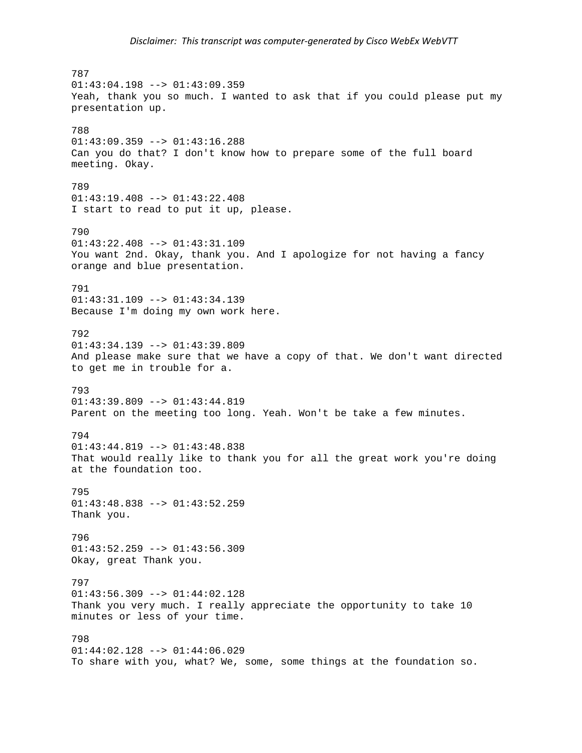787  $01:43:04.198$  -->  $01:43:09.359$ Yeah, thank you so much. I wanted to ask that if you could please put my presentation up. 788 01:43:09.359 --> 01:43:16.288 Can you do that? I don't know how to prepare some of the full board meeting. Okay. 789 01:43:19.408 --> 01:43:22.408 I start to read to put it up, please. 790  $01:43:22.408$  -->  $01:43:31.109$ You want 2nd. Okay, thank you. And I apologize for not having a fancy orange and blue presentation. 791 01:43:31.109 --> 01:43:34.139 Because I'm doing my own work here. 792 01:43:34.139 --> 01:43:39.809 And please make sure that we have a copy of that. We don't want directed to get me in trouble for a. 793 01:43:39.809 --> 01:43:44.819 Parent on the meeting too long. Yeah. Won't be take a few minutes. 794  $01:43:44.819$  -->  $01:43:48.838$ That would really like to thank you for all the great work you're doing at the foundation too. 795 01:43:48.838 --> 01:43:52.259 Thank you. 796 01:43:52.259 --> 01:43:56.309 Okay, great Thank you. 797  $01:43:56.309$  -->  $01:44:02.128$ Thank you very much. I really appreciate the opportunity to take 10 minutes or less of your time. 798  $01:44:02.128$  -->  $01:44:06.029$ To share with you, what? We, some, some things at the foundation so.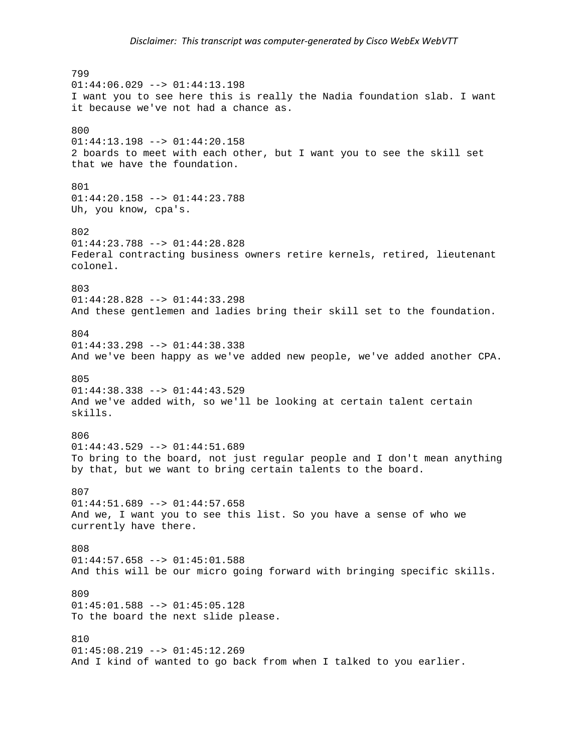799  $01:44:06.029$  -->  $01:44:13.198$ I want you to see here this is really the Nadia foundation slab. I want it because we've not had a chance as. 800 01:44:13.198 --> 01:44:20.158 2 boards to meet with each other, but I want you to see the skill set that we have the foundation. 801 01:44:20.158 --> 01:44:23.788 Uh, you know, cpa's. 802  $01:44:23.788$  -->  $01:44:28.828$ Federal contracting business owners retire kernels, retired, lieutenant colonel. 803 01:44:28.828 --> 01:44:33.298 And these gentlemen and ladies bring their skill set to the foundation. 804 01:44:33.298 --> 01:44:38.338 And we've been happy as we've added new people, we've added another CPA. 805 01:44:38.338 --> 01:44:43.529 And we've added with, so we'll be looking at certain talent certain skills. 806  $01:44:43.529$  -->  $01:44:51.689$ To bring to the board, not just regular people and I don't mean anything by that, but we want to bring certain talents to the board. 807  $01:44:51.689$  -->  $01:44:57.658$ And we, I want you to see this list. So you have a sense of who we currently have there. 808 01:44:57.658 --> 01:45:01.588 And this will be our micro going forward with bringing specific skills. 809  $01:45:01.588$  -->  $01:45:05.128$ To the board the next slide please. 810  $01:45:08.219$  -->  $01:45:12.269$ And I kind of wanted to go back from when I talked to you earlier.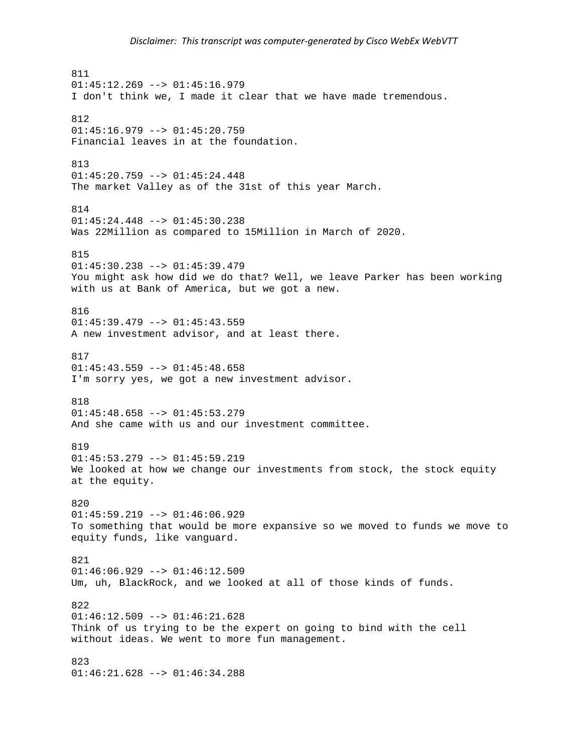811  $01:45:12.269$  -->  $01:45:16.979$ I don't think we, I made it clear that we have made tremendous. 812  $01:45:16.979$  -->  $01:45:20.759$ Financial leaves in at the foundation. 813  $01:45:20.759$  -->  $01:45:24.448$ The market Valley as of the 31st of this year March. 814 01:45:24.448 --> 01:45:30.238 Was 22Million as compared to 15Million in March of 2020. 815 01:45:30.238 --> 01:45:39.479 You might ask how did we do that? Well, we leave Parker has been working with us at Bank of America, but we got a new. 816 01:45:39.479 --> 01:45:43.559 A new investment advisor, and at least there. 817  $01:45:43.559$  -->  $01:45:48.658$ I'm sorry yes, we got a new investment advisor. 818 01:45:48.658 --> 01:45:53.279 And she came with us and our investment committee. 819 01:45:53.279 --> 01:45:59.219 We looked at how we change our investments from stock, the stock equity at the equity. 820  $01:45:59.219$  -->  $01:46:06.929$ To something that would be more expansive so we moved to funds we move to equity funds, like vanguard. 821  $01:46:06.929$  -->  $01:46:12.509$ Um, uh, BlackRock, and we looked at all of those kinds of funds. 822  $01:46:12.509$  -->  $01:46:21.628$ Think of us trying to be the expert on going to bind with the cell without ideas. We went to more fun management. 823 01:46:21.628 --> 01:46:34.288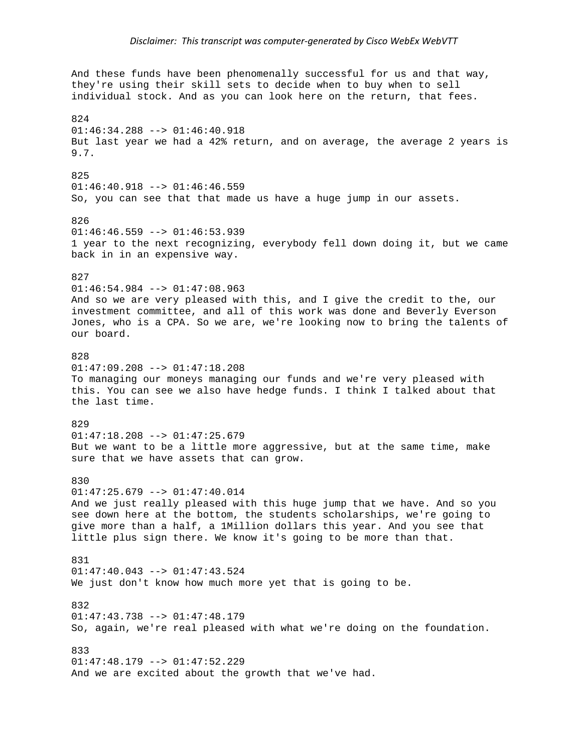And these funds have been phenomenally successful for us and that way, they're using their skill sets to decide when to buy when to sell individual stock. And as you can look here on the return, that fees. 824 01:46:34.288 --> 01:46:40.918 But last year we had a 42% return, and on average, the average 2 years is 9.7. 825 01:46:40.918 --> 01:46:46.559 So, you can see that that made us have a huge jump in our assets. 826  $01:46:46.559$  -->  $01:46:53.939$ 1 year to the next recognizing, everybody fell down doing it, but we came back in in an expensive way. 827  $01:46:54.984$  -->  $01:47:08.963$ And so we are very pleased with this, and I give the credit to the, our investment committee, and all of this work was done and Beverly Everson Jones, who is a CPA. So we are, we're looking now to bring the talents of our board. 828  $01:47:09.208$  -->  $01:47:18.208$ To managing our moneys managing our funds and we're very pleased with this. You can see we also have hedge funds. I think I talked about that the last time. 829 01:47:18.208 --> 01:47:25.679 But we want to be a little more aggressive, but at the same time, make sure that we have assets that can grow. 830 01:47:25.679 --> 01:47:40.014 And we just really pleased with this huge jump that we have. And so you see down here at the bottom, the students scholarships, we're going to give more than a half, a 1Million dollars this year. And you see that little plus sign there. We know it's going to be more than that. 831  $01:47:40.043$  -->  $01:47:43.524$ We just don't know how much more yet that is going to be. 832 01:47:43.738 --> 01:47:48.179 So, again, we're real pleased with what we're doing on the foundation. 833 01:47:48.179 --> 01:47:52.229 And we are excited about the growth that we've had.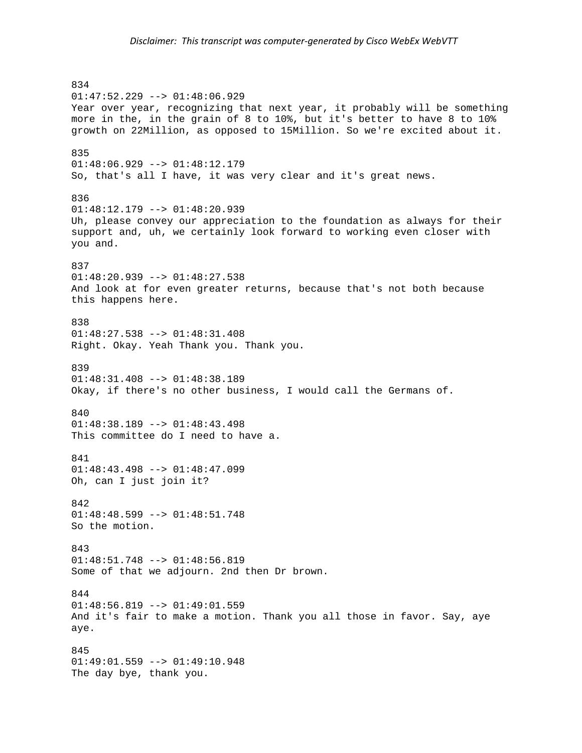834 01:47:52.229 --> 01:48:06.929 Year over year, recognizing that next year, it probably will be something more in the, in the grain of 8 to 10%, but it's better to have 8 to 10% growth on 22Million, as opposed to 15Million. So we're excited about it. 835 01:48:06.929 --> 01:48:12.179 So, that's all I have, it was very clear and it's great news. 836 01:48:12.179 --> 01:48:20.939 Uh, please convey our appreciation to the foundation as always for their support and, uh, we certainly look forward to working even closer with you and. 837 01:48:20.939 --> 01:48:27.538 And look at for even greater returns, because that's not both because this happens here. 838 01:48:27.538 --> 01:48:31.408 Right. Okay. Yeah Thank you. Thank you. 839 01:48:31.408 --> 01:48:38.189 Okay, if there's no other business, I would call the Germans of. 840 01:48:38.189 --> 01:48:43.498 This committee do I need to have a. 841  $01:48:43.498$  -->  $01:48:47.099$ Oh, can I just join it? 842  $01:48:48.599$  -->  $01:48:51.748$ So the motion. 843 01:48:51.748 --> 01:48:56.819 Some of that we adjourn. 2nd then Dr brown. 844  $01:48:56.819$  -->  $01:49:01.559$ And it's fair to make a motion. Thank you all those in favor. Say, aye aye. 845 01:49:01.559 --> 01:49:10.948 The day bye, thank you.